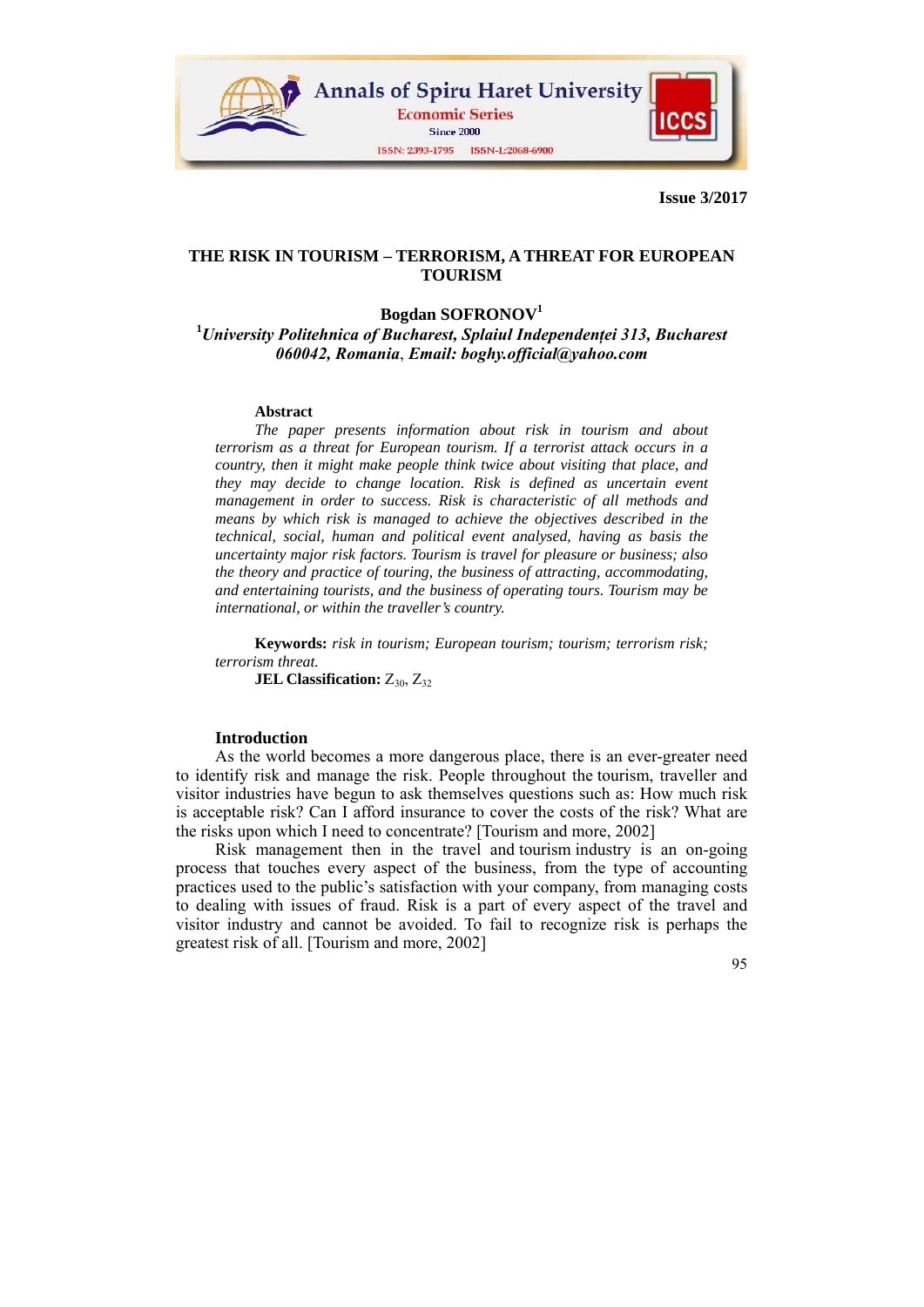

## **THE RISK IN TOURISM – TERRORISM, A THREAT FOR EUROPEAN TOURISM**

#### **Bogdan SOFRONOV<sup>1</sup>**

**1** *University Politehnica of Bucharest, Splaiul Independenței 313, Bucharest 060042, Romania*, *Email: boghy.official@yahoo.com*

#### **Abstract**

*The paper presents information about risk in tourism and about terrorism as a threat for European tourism. If a terrorist attack occurs in a country, then it might make people think twice about visiting that place, and they may decide to change location. Risk is defined as uncertain event management in order to success. Risk is characteristic of all methods and means by which risk is managed to achieve the objectives described in the technical, social, human and political event analysed, having as basis the uncertainty major risk factors. Tourism is travel for pleasure or business; also the theory and practice of touring, the business of attracting, accommodating, and entertaining tourists, and the business of operating tours. Tourism may be international, or within the traveller's country.* 

**Keywords:** *risk in tourism; European tourism; tourism; terrorism risk; terrorism threat.*

**JEL Classification:**  $Z_{30}$ ,  $Z_{32}$ 

#### **Introduction**

As the world becomes a more dangerous place, there is an ever-greater need to identify risk and manage the risk. People throughout the tourism, traveller and visitor industries have begun to ask themselves questions such as: How much risk is acceptable risk? Can I afford insurance to cover the costs of the risk? What are the risks upon which I need to concentrate? [Tourism and more, 2002]

Risk management then in the travel and tourism industry is an on-going process that touches every aspect of the business, from the type of accounting practices used to the public's satisfaction with your company, from managing costs to dealing with issues of fraud. Risk is a part of every aspect of the travel and visitor industry and cannot be avoided. To fail to recognize risk is perhaps the greatest risk of all. [Tourism and more, 2002]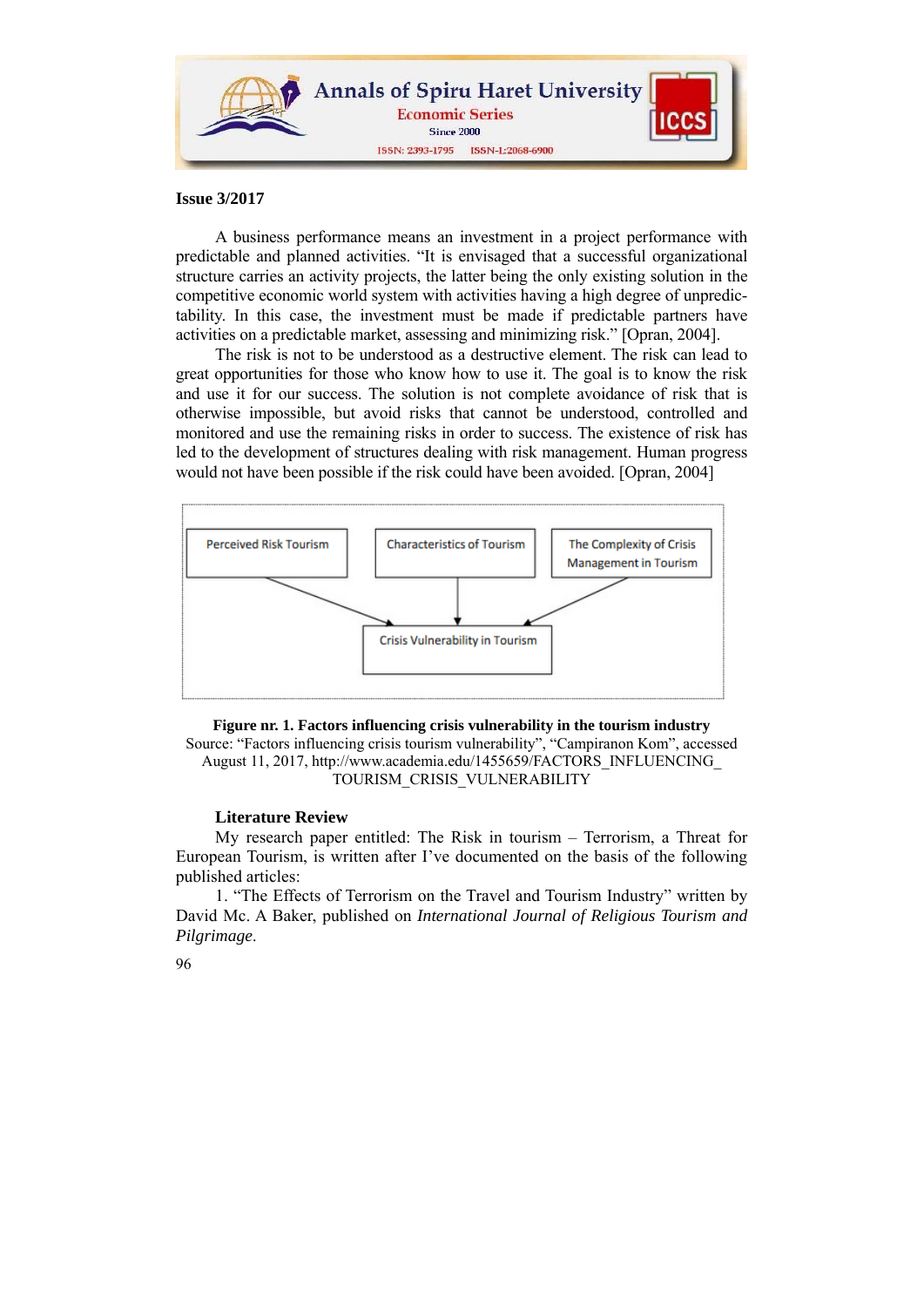

A business performance means an investment in a project performance with predictable and planned activities. "It is envisaged that a successful organizational structure carries an activity projects, the latter being the only existing solution in the competitive economic world system with activities having a high degree of unpredictability. In this case, the investment must be made if predictable partners have activities on a predictable market, assessing and minimizing risk." [Opran, 2004].

The risk is not to be understood as a destructive element. The risk can lead to great opportunities for those who know how to use it. The goal is to know the risk and use it for our success. The solution is not complete avoidance of risk that is otherwise impossible, but avoid risks that cannot be understood, controlled and monitored and use the remaining risks in order to success. The existence of risk has led to the development of structures dealing with risk management. Human progress would not have been possible if the risk could have been avoided. [Opran, 2004]



**Figure nr. 1. Factors influencing crisis vulnerability in the tourism industry**  Source: "Factors influencing crisis tourism vulnerability", "Campiranon Kom", accessed August 11, 2017, http://www.academia.edu/1455659/FACTORS\_INFLUENCING\_ TOURISM\_CRISIS\_VULNERABILITY

### **Literature Review**

My research paper entitled: The Risk in tourism – Terrorism, a Threat for European Tourism, is written after I've documented on the basis of the following published articles:

1. "The Effects of Terrorism on the Travel and Tourism Industry" written by David Mc. A Baker, published on *International Journal of Religious Tourism and Pilgrimage*.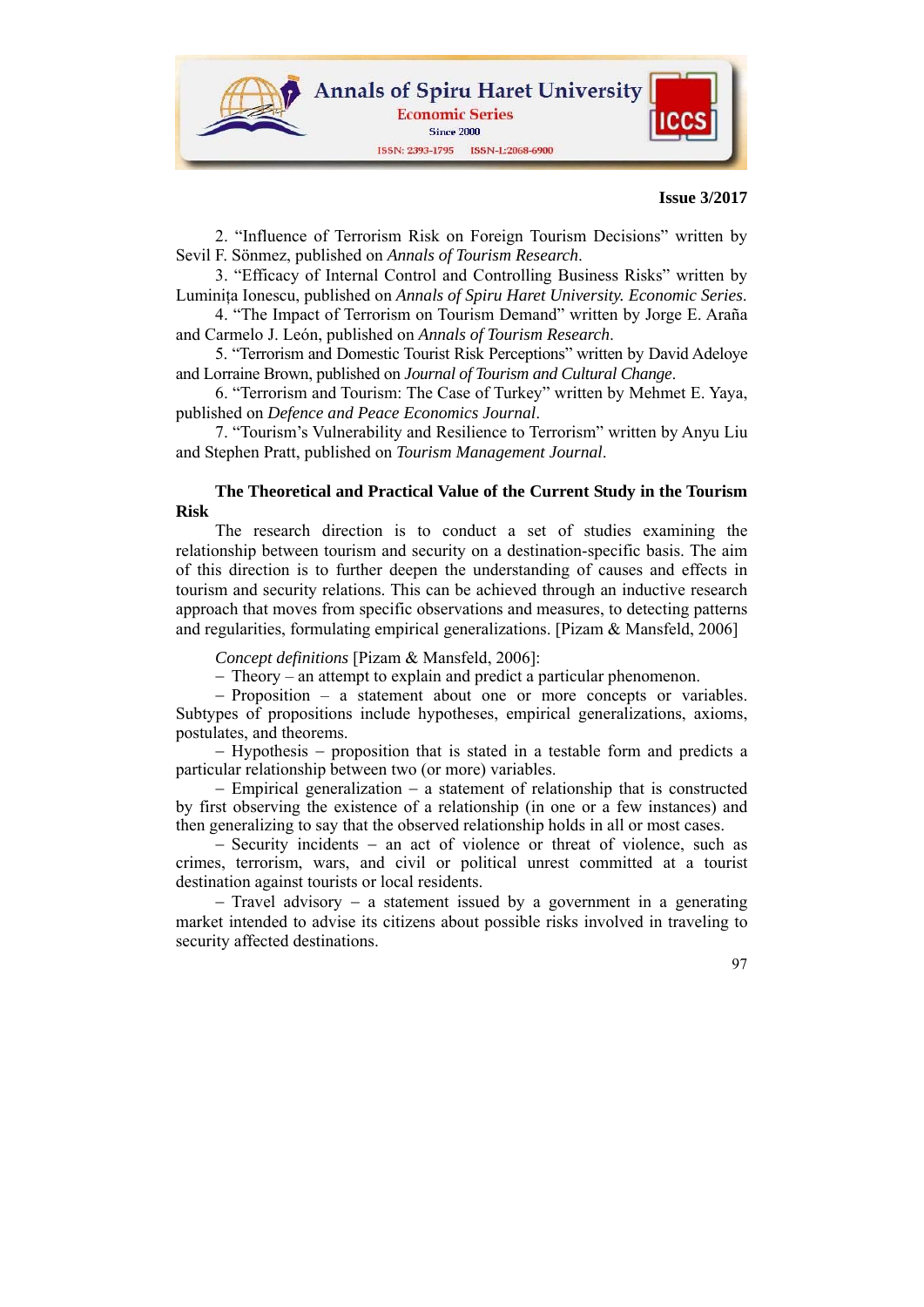

2. "Influence of Terrorism Risk on Foreign Tourism Decisions" written by Sevil F. Sönmez, published on *Annals of Tourism Research*.

3. "Efficacy of Internal Control and Controlling Business Risks" written by Luminița Ionescu, published on *Annals of Spiru Haret University. Economic Series*.

4. "The Impact of Terrorism on Tourism Demand" written by Jorge E. Araña and Carmelo J. León, published on *Annals of Tourism Research*.

5. "Terrorism and Domestic Tourist Risk Perceptions" written by David Adeloye and Lorraine Brown, published on *Journal of Tourism and Cultural Change*.

6. "Terrorism and Tourism: The Case of Turkey" written by Mehmet E. Yaya, published on *Defence and Peace Economics Journal*.

7. "Tourism's Vulnerability and Resilience to Terrorism" written by Anyu Liu and Stephen Pratt, published on *Tourism Management Journal*.

### **The Theoretical and Practical Value of the Current Study in the Tourism Risk**

The research direction is to conduct a set of studies examining the relationship between tourism and security on a destination-specific basis. The aim of this direction is to further deepen the understanding of causes and effects in tourism and security relations. This can be achieved through an inductive research approach that moves from specific observations and measures, to detecting patterns and regularities, formulating empirical generalizations. [Pizam & Mansfeld, 2006]

*Concept definitions* [Pizam & Mansfeld, 2006]:

Theory – an attempt to explain and predict a particular phenomenon.

 Proposition – a statement about one or more concepts or variables. Subtypes of propositions include hypotheses, empirical generalizations, axioms, postulates, and theorems.

- Hypothesis – proposition that is stated in a testable form and predicts a particular relationship between two (or more) variables.

 $-$  Empirical generalization  $-$  a statement of relationship that is constructed by first observing the existence of a relationship (in one or a few instances) and then generalizing to say that the observed relationship holds in all or most cases.

- Security incidents - an act of violence or threat of violence, such as crimes, terrorism, wars, and civil or political unrest committed at a tourist destination against tourists or local residents.

 $-$  Travel advisory  $-$  a statement issued by a government in a generating market intended to advise its citizens about possible risks involved in traveling to security affected destinations.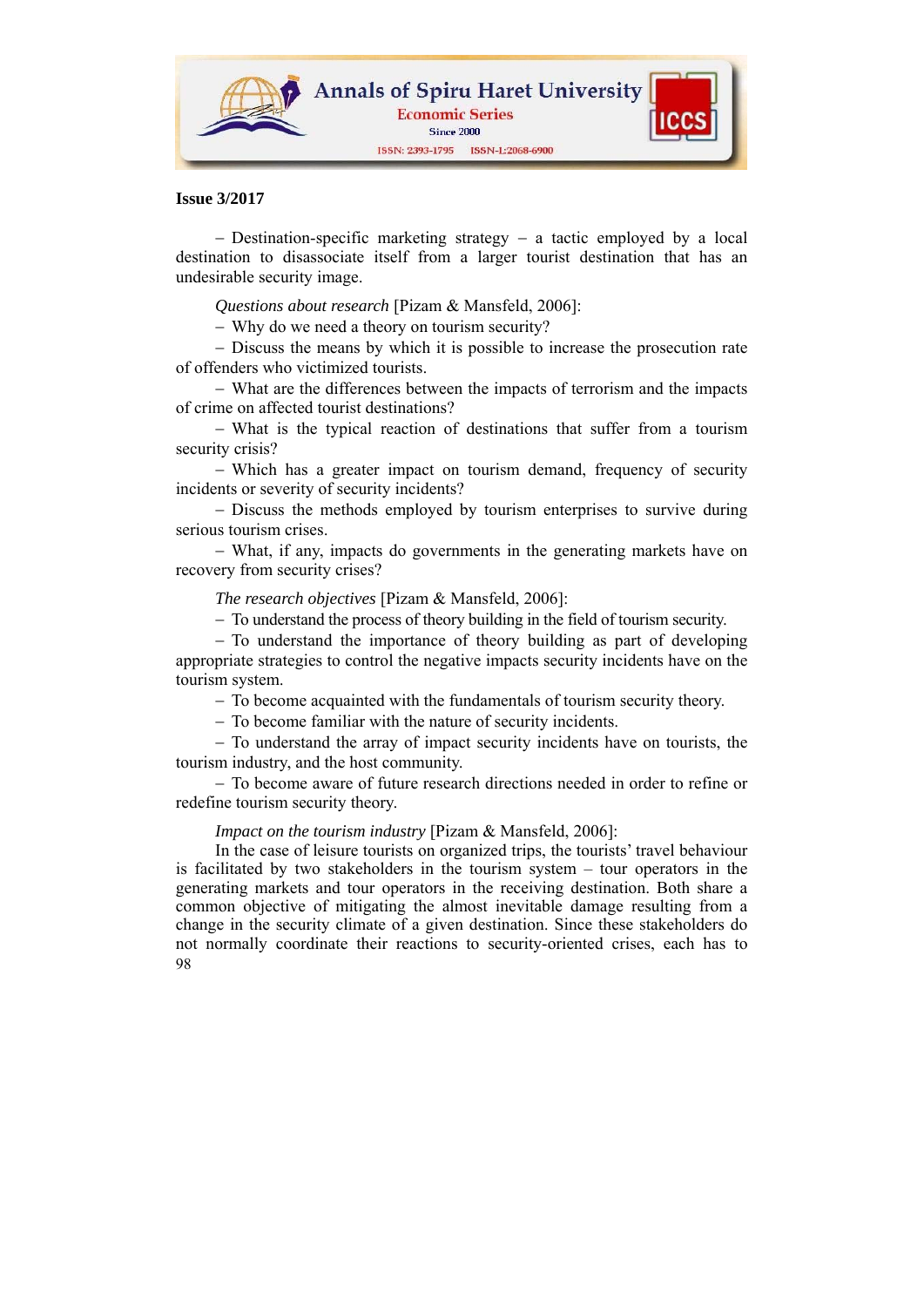

 $-$  Destination-specific marketing strategy  $-$  a tactic employed by a local destination to disassociate itself from a larger tourist destination that has an undesirable security image.

*Questions about research* [Pizam & Mansfeld, 2006]:

Why do we need a theory on tourism security?

- Discuss the means by which it is possible to increase the prosecution rate of offenders who victimized tourists.

 What are the differences between the impacts of terrorism and the impacts of crime on affected tourist destinations?

 What is the typical reaction of destinations that suffer from a tourism security crisis?

 Which has a greater impact on tourism demand, frequency of security incidents or severity of security incidents?

 Discuss the methods employed by tourism enterprises to survive during serious tourism crises.

 What, if any, impacts do governments in the generating markets have on recovery from security crises?

*The research objectives* [Pizam & Mansfeld, 2006]:

To understand the process of theory building in the field of tourism security.

 To understand the importance of theory building as part of developing appropriate strategies to control the negative impacts security incidents have on the tourism system.

To become acquainted with the fundamentals of tourism security theory.

- To become familiar with the nature of security incidents.

 To understand the array of impact security incidents have on tourists, the tourism industry, and the host community.

 To become aware of future research directions needed in order to refine or redefine tourism security theory.

### *Impact on the tourism industry* [Pizam & Mansfeld, 2006]:

98 In the case of leisure tourists on organized trips, the tourists' travel behaviour is facilitated by two stakeholders in the tourism system – tour operators in the generating markets and tour operators in the receiving destination. Both share a common objective of mitigating the almost inevitable damage resulting from a change in the security climate of a given destination. Since these stakeholders do not normally coordinate their reactions to security-oriented crises, each has to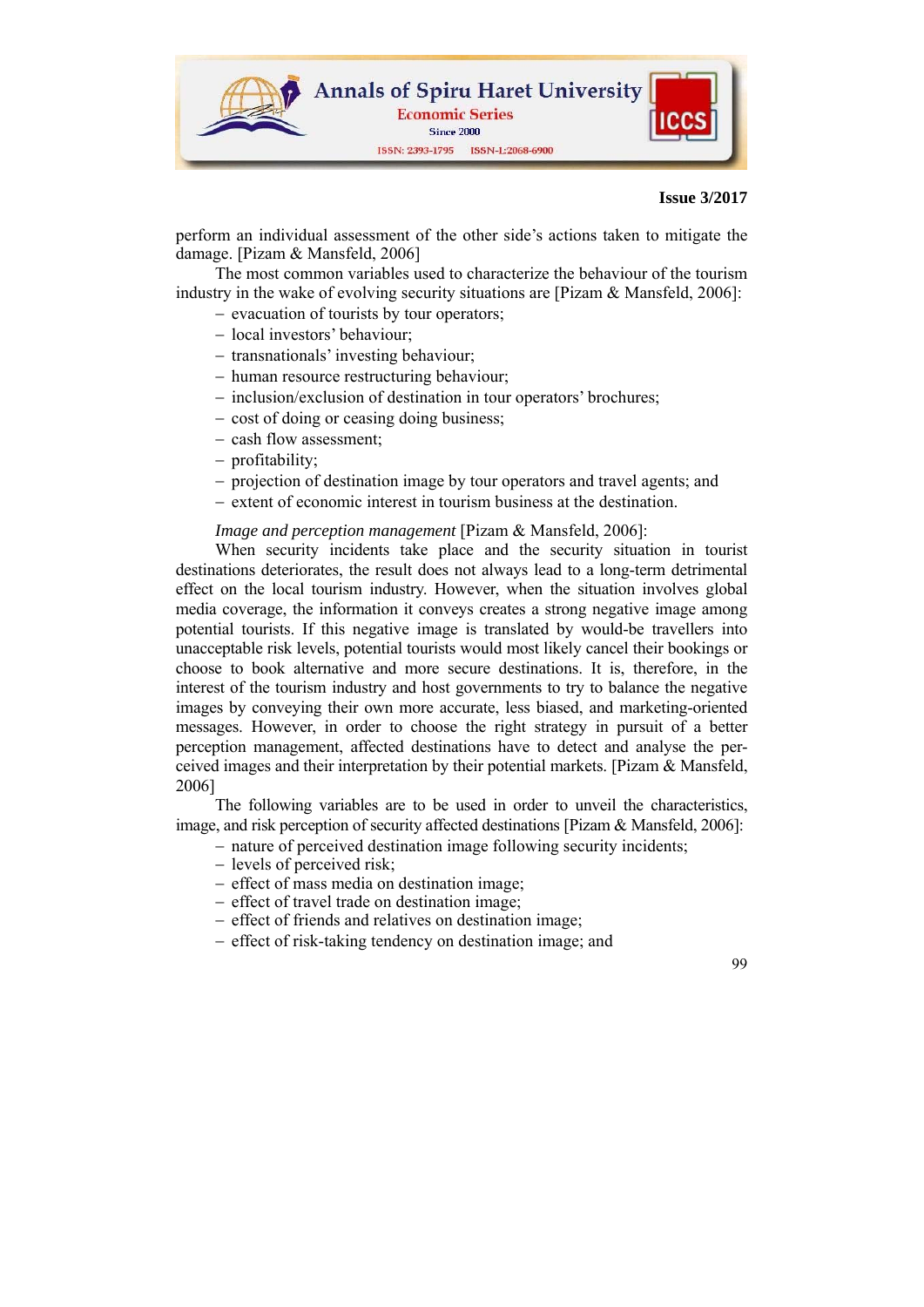

perform an individual assessment of the other side's actions taken to mitigate the damage. [Pizam & Mansfeld, 2006]

The most common variables used to characterize the behaviour of the tourism industry in the wake of evolving security situations are [Pizam & Mansfeld, 2006]:

- evacuation of tourists by tour operators;
- local investors' behaviour;
- transnationals' investing behaviour;
- human resource restructuring behaviour;
- inclusion/exclusion of destination in tour operators' brochures;
- cost of doing or ceasing doing business;
- cash flow assessment;
- profitability;
- projection of destination image by tour operators and travel agents; and
- extent of economic interest in tourism business at the destination.

#### *Image and perception management* [Pizam & Mansfeld, 2006]:

When security incidents take place and the security situation in tourist destinations deteriorates, the result does not always lead to a long-term detrimental effect on the local tourism industry. However, when the situation involves global media coverage, the information it conveys creates a strong negative image among potential tourists. If this negative image is translated by would-be travellers into unacceptable risk levels, potential tourists would most likely cancel their bookings or choose to book alternative and more secure destinations. It is, therefore, in the interest of the tourism industry and host governments to try to balance the negative images by conveying their own more accurate, less biased, and marketing-oriented messages. However, in order to choose the right strategy in pursuit of a better perception management, affected destinations have to detect and analyse the perceived images and their interpretation by their potential markets. [Pizam & Mansfeld, 2006]

The following variables are to be used in order to unveil the characteristics, image, and risk perception of security affected destinations [Pizam & Mansfeld, 2006]:

- nature of perceived destination image following security incidents;
- levels of perceived risk;
- effect of mass media on destination image;
- effect of travel trade on destination image;
- effect of friends and relatives on destination image;
- effect of risk-taking tendency on destination image; and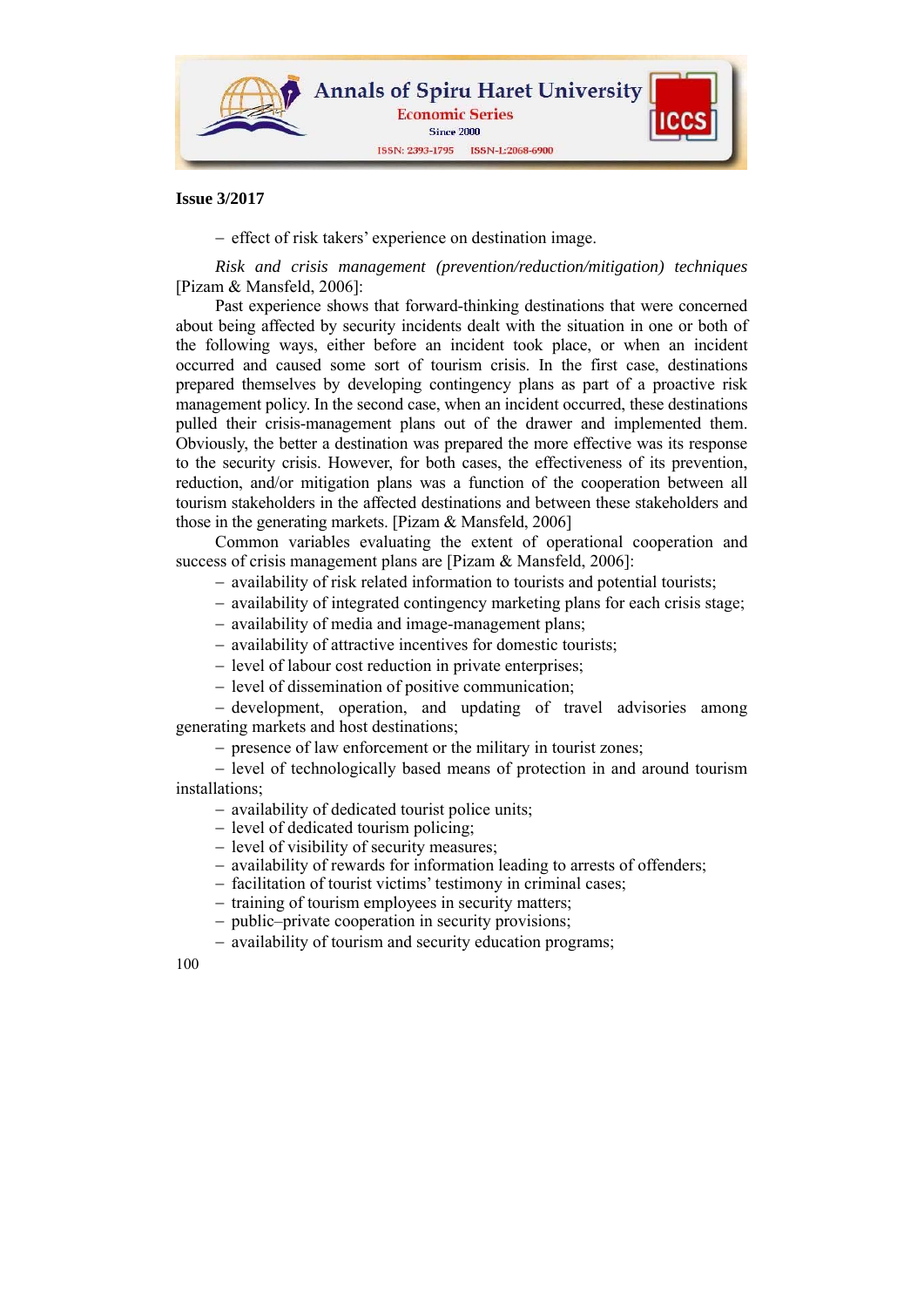

– effect of risk takers' experience on destination image.

*Risk and crisis management (prevention/reduction/mitigation) techniques* [Pizam & Mansfeld, 2006]:

Past experience shows that forward-thinking destinations that were concerned about being affected by security incidents dealt with the situation in one or both of the following ways, either before an incident took place, or when an incident occurred and caused some sort of tourism crisis. In the first case, destinations prepared themselves by developing contingency plans as part of a proactive risk management policy. In the second case, when an incident occurred, these destinations pulled their crisis-management plans out of the drawer and implemented them. Obviously, the better a destination was prepared the more effective was its response to the security crisis. However, for both cases, the effectiveness of its prevention, reduction, and/or mitigation plans was a function of the cooperation between all tourism stakeholders in the affected destinations and between these stakeholders and those in the generating markets. [Pizam & Mansfeld, 2006]

Common variables evaluating the extent of operational cooperation and success of crisis management plans are [Pizam & Mansfeld, 2006]:

- availability of risk related information to tourists and potential tourists;
- availability of integrated contingency marketing plans for each crisis stage;
- availability of media and image-management plans;
- availability of attractive incentives for domestic tourists;
- level of labour cost reduction in private enterprises;
- level of dissemination of positive communication;

- development, operation, and updating of travel advisories among generating markets and host destinations;

- presence of law enforcement or the military in tourist zones;

- level of technologically based means of protection in and around tourism installations;

- availability of dedicated tourist police units;
- level of dedicated tourism policing;
- level of visibility of security measures;
- availability of rewards for information leading to arrests of offenders;
- facilitation of tourist victims' testimony in criminal cases;
- training of tourism employees in security matters;
- public–private cooperation in security provisions;
- availability of tourism and security education programs;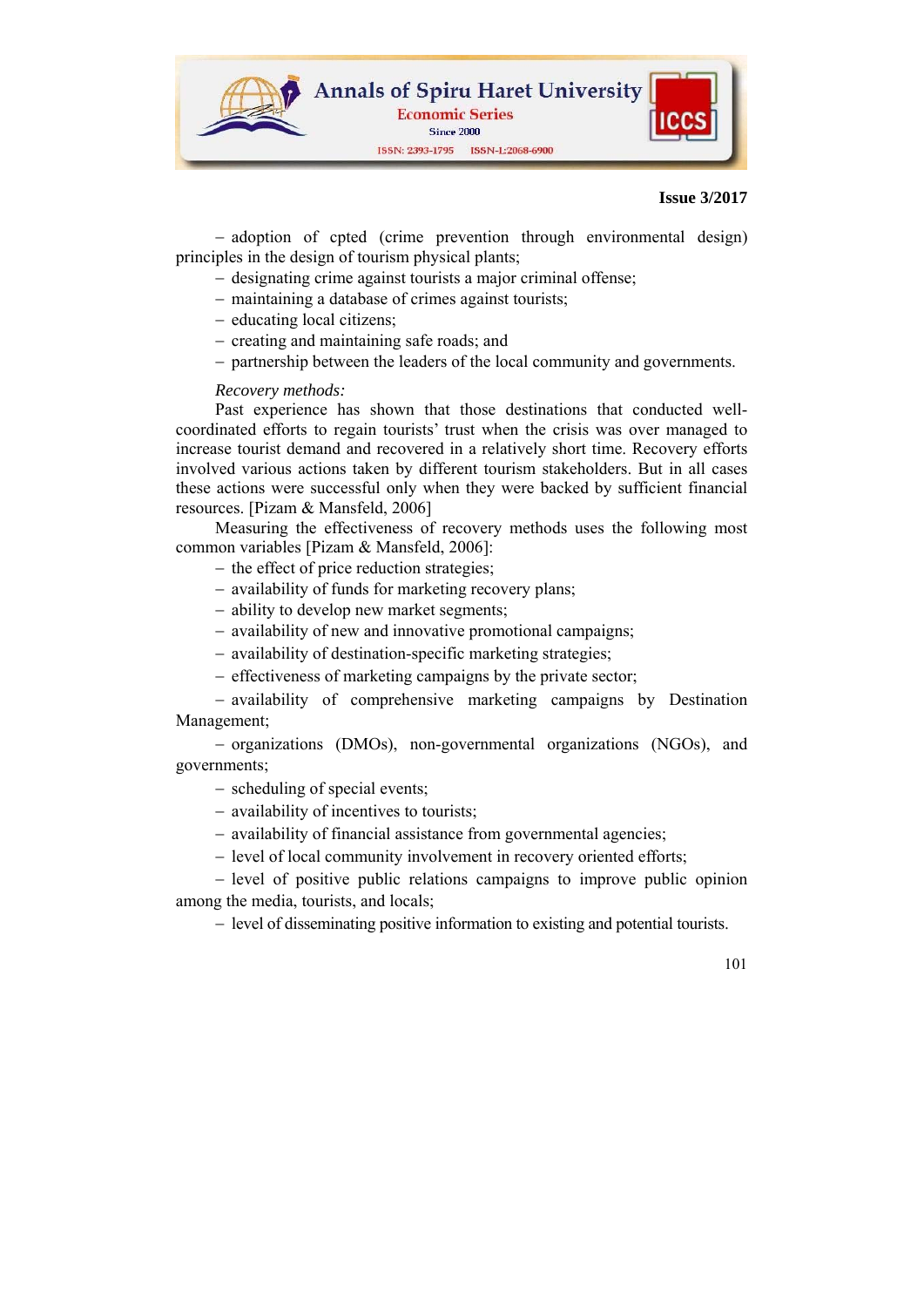

- adoption of cpted (crime prevention through environmental design) principles in the design of tourism physical plants;

- designating crime against tourists a major criminal offense;
- maintaining a database of crimes against tourists;
- educating local citizens;
- creating and maintaining safe roads; and
- partnership between the leaders of the local community and governments.

## *Recovery methods:*

Past experience has shown that those destinations that conducted wellcoordinated efforts to regain tourists' trust when the crisis was over managed to increase tourist demand and recovered in a relatively short time. Recovery efforts involved various actions taken by different tourism stakeholders. But in all cases these actions were successful only when they were backed by sufficient financial resources. [Pizam & Mansfeld, 2006]

Measuring the effectiveness of recovery methods uses the following most common variables [Pizam & Mansfeld, 2006]:

 $-$  the effect of price reduction strategies;

- availability of funds for marketing recovery plans;
- ability to develop new market segments;
- availability of new and innovative promotional campaigns;
- availability of destination-specific marketing strategies;
- effectiveness of marketing campaigns by the private sector;

- availability of comprehensive marketing campaigns by Destination Management;

- organizations (DMOs), non-governmental organizations (NGOs), and governments;

- scheduling of special events;
- availability of incentives to tourists;
- availability of financial assistance from governmental agencies;
- level of local community involvement in recovery oriented efforts;

– level of positive public relations campaigns to improve public opinion among the media, tourists, and locals;

- level of disseminating positive information to existing and potential tourists.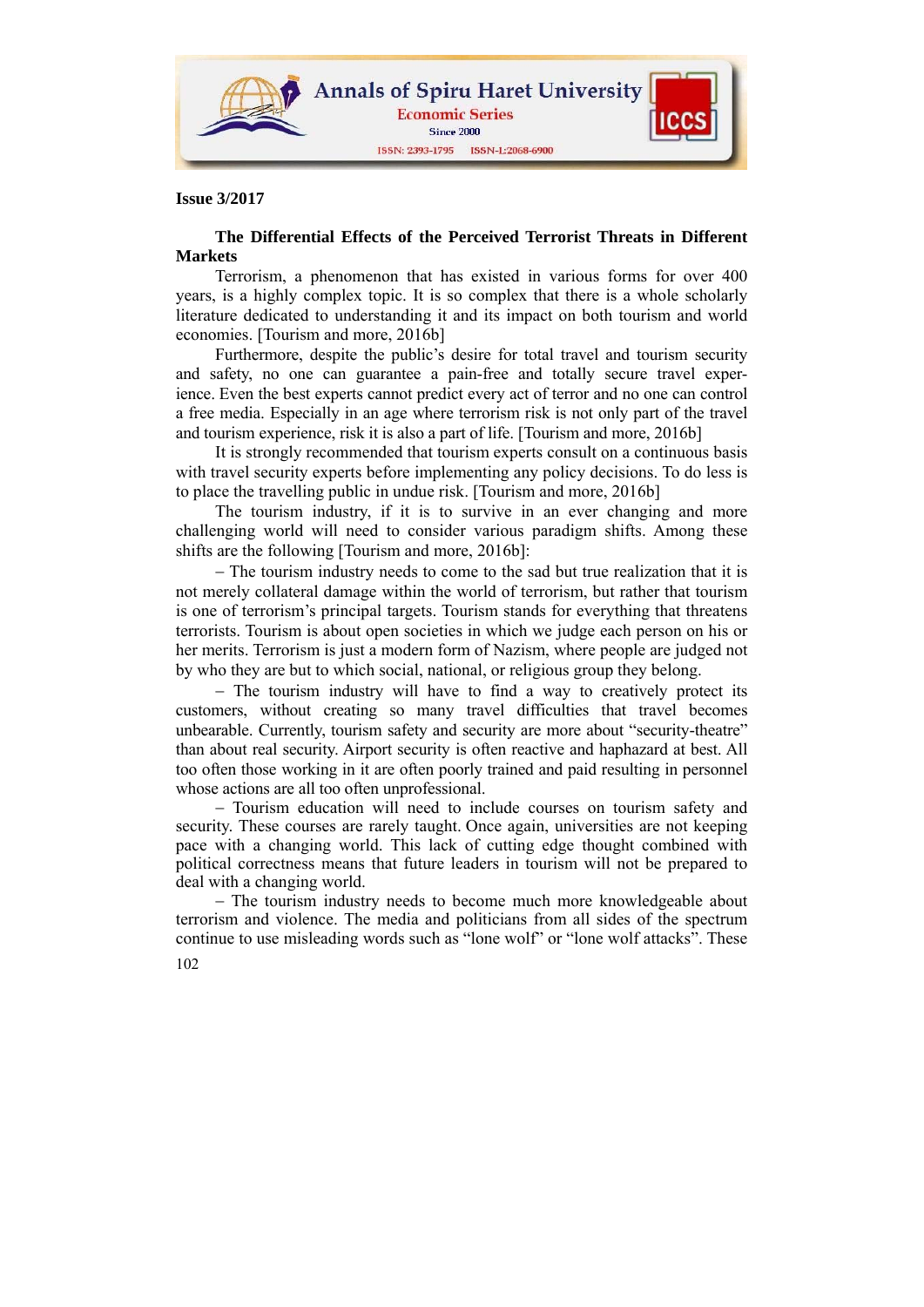

## **The Differential Effects of the Perceived Terrorist Threats in Different Markets**

Terrorism, a phenomenon that has existed in various forms for over 400 years, is a highly complex topic. It is so complex that there is a whole scholarly literature dedicated to understanding it and its impact on both tourism and world economies. [Tourism and more, 2016b]

Furthermore, despite the public's desire for total travel and tourism security and safety, no one can guarantee a pain-free and totally secure travel experience. Even the best experts cannot predict every act of terror and no one can control a free media. Especially in an age where terrorism risk is not only part of the travel and tourism experience, risk it is also a part of life. [Tourism and more, 2016b]

It is strongly recommended that tourism experts consult on a continuous basis with travel security experts before implementing any policy decisions. To do less is to place the travelling public in undue risk. [Tourism and more, 2016b]

The tourism industry, if it is to survive in an ever changing and more challenging world will need to consider various paradigm shifts. Among these shifts are the following [Tourism and more, 2016b]:

- The tourism industry needs to come to the sad but true realization that it is not merely collateral damage within the world of terrorism, but rather that tourism is one of terrorism's principal targets. Tourism stands for everything that threatens terrorists. Tourism is about open societies in which we judge each person on his or her merits. Terrorism is just a modern form of Nazism, where people are judged not by who they are but to which social, national, or religious group they belong.

- The tourism industry will have to find a way to creatively protect its customers, without creating so many travel difficulties that travel becomes unbearable. Currently, tourism safety and security are more about "security-theatre" than about real security. Airport security is often reactive and haphazard at best. All too often those working in it are often poorly trained and paid resulting in personnel whose actions are all too often unprofessional.

 Tourism education will need to include courses on tourism safety and security. These courses are rarely taught. Once again, universities are not keeping pace with a changing world. This lack of cutting edge thought combined with political correctness means that future leaders in tourism will not be prepared to deal with a changing world.

- The tourism industry needs to become much more knowledgeable about terrorism and violence. The media and politicians from all sides of the spectrum continue to use misleading words such as "lone wolf" or "lone wolf attacks". These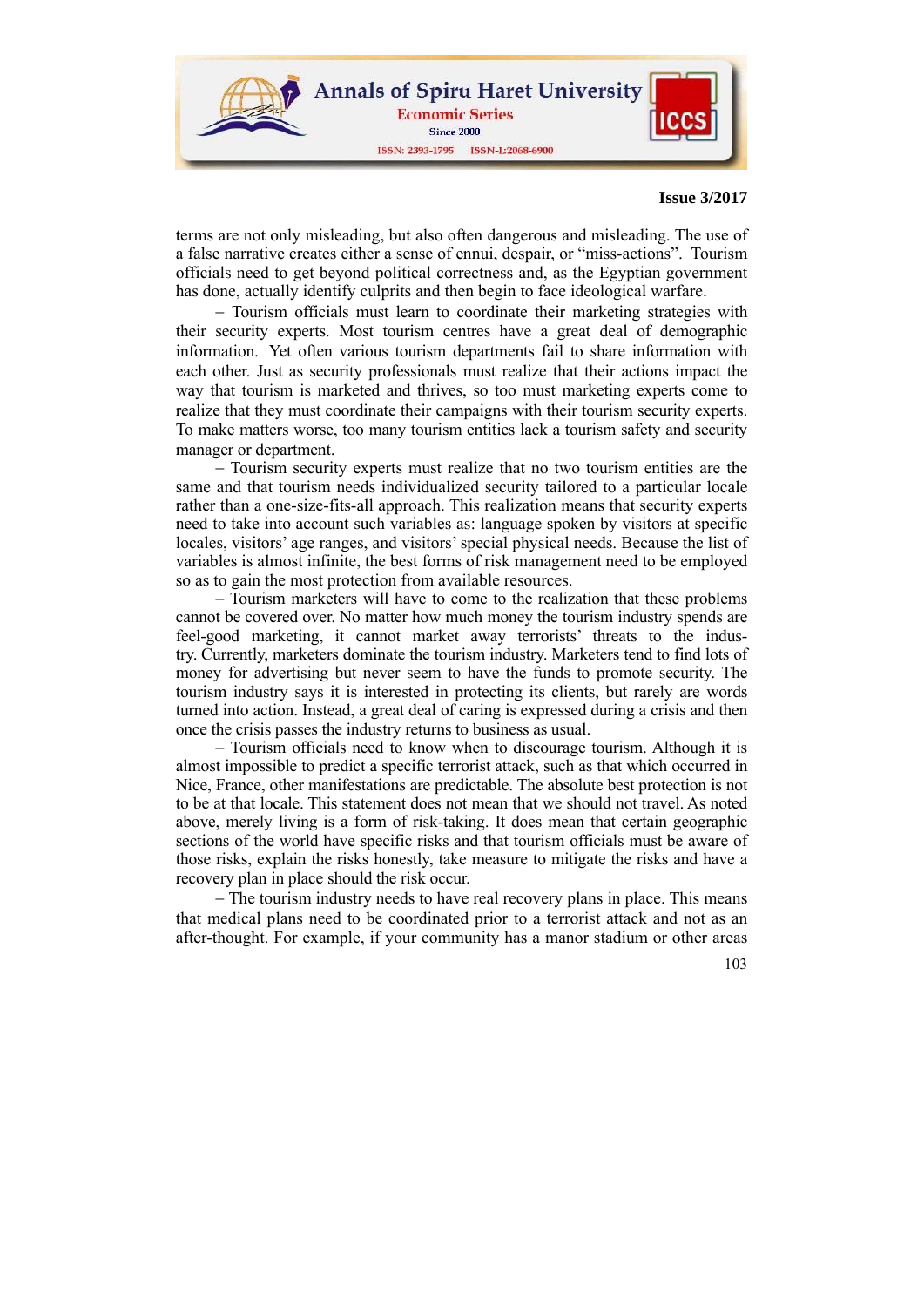

terms are not only misleading, but also often dangerous and misleading. The use of a false narrative creates either a sense of ennui, despair, or "miss-actions". Tourism officials need to get beyond political correctness and, as the Egyptian government has done, actually identify culprits and then begin to face ideological warfare.

- Tourism officials must learn to coordinate their marketing strategies with their security experts. Most tourism centres have a great deal of demographic information. Yet often various tourism departments fail to share information with each other. Just as security professionals must realize that their actions impact the way that tourism is marketed and thrives, so too must marketing experts come to realize that they must coordinate their campaigns with their tourism security experts. To make matters worse, too many tourism entities lack a tourism safety and security manager or department.

 Tourism security experts must realize that no two tourism entities are the same and that tourism needs individualized security tailored to a particular locale rather than a one-size-fits-all approach. This realization means that security experts need to take into account such variables as: language spoken by visitors at specific locales, visitors' age ranges, and visitors' special physical needs. Because the list of variables is almost infinite, the best forms of risk management need to be employed so as to gain the most protection from available resources.

 Tourism marketers will have to come to the realization that these problems cannot be covered over. No matter how much money the tourism industry spends are feel-good marketing, it cannot market away terrorists' threats to the industry. Currently, marketers dominate the tourism industry. Marketers tend to find lots of money for advertising but never seem to have the funds to promote security. The tourism industry says it is interested in protecting its clients, but rarely are words turned into action. Instead, a great deal of caring is expressed during a crisis and then once the crisis passes the industry returns to business as usual.

 Tourism officials need to know when to discourage tourism. Although it is almost impossible to predict a specific terrorist attack, such as that which occurred in Nice, France, other manifestations are predictable. The absolute best protection is not to be at that locale. This statement does not mean that we should not travel. As noted above, merely living is a form of risk-taking. It does mean that certain geographic sections of the world have specific risks and that tourism officials must be aware of those risks, explain the risks honestly, take measure to mitigate the risks and have a recovery plan in place should the risk occur.

 The tourism industry needs to have real recovery plans in place. This means that medical plans need to be coordinated prior to a terrorist attack and not as an after-thought. For example, if your community has a manor stadium or other areas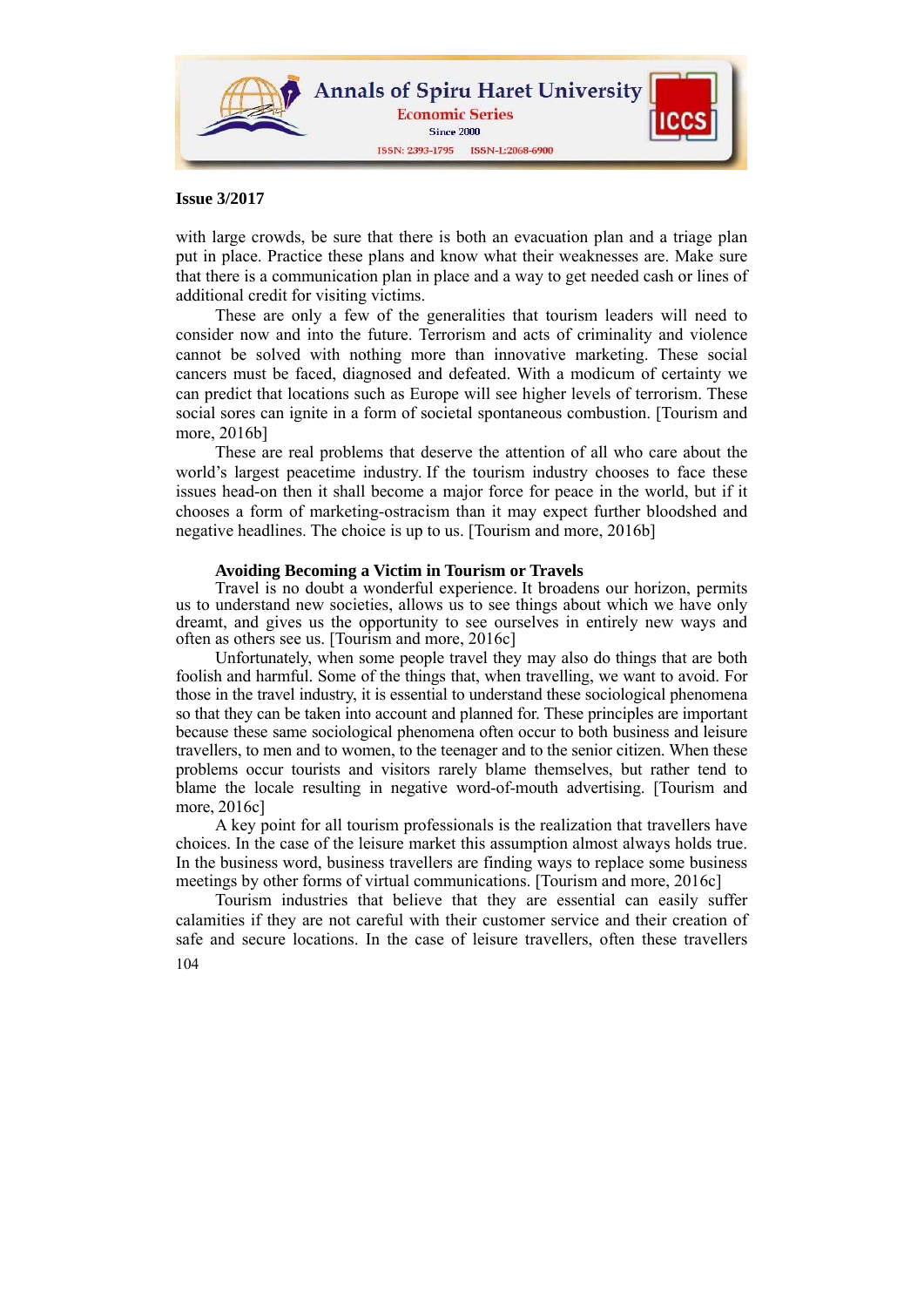

with large crowds, be sure that there is both an evacuation plan and a triage plan put in place. Practice these plans and know what their weaknesses are. Make sure that there is a communication plan in place and a way to get needed cash or lines of additional credit for visiting victims.

These are only a few of the generalities that tourism leaders will need to consider now and into the future. Terrorism and acts of criminality and violence cannot be solved with nothing more than innovative marketing. These social cancers must be faced, diagnosed and defeated. With a modicum of certainty we can predict that locations such as Europe will see higher levels of terrorism. These social sores can ignite in a form of societal spontaneous combustion. [Tourism and more, 2016b]

These are real problems that deserve the attention of all who care about the world's largest peacetime industry. If the tourism industry chooses to face these issues head-on then it shall become a major force for peace in the world, but if it chooses a form of marketing-ostracism than it may expect further bloodshed and negative headlines. The choice is up to us. [Tourism and more, 2016b]

## **Avoiding Becoming a Victim in Tourism or Travels**

Travel is no doubt a wonderful experience. It broadens our horizon, permits us to understand new societies, allows us to see things about which we have only dreamt, and gives us the opportunity to see ourselves in entirely new ways and often as others see us. [Tourism and more, 2016c]

Unfortunately, when some people travel they may also do things that are both foolish and harmful. Some of the things that, when travelling, we want to avoid. For those in the travel industry, it is essential to understand these sociological phenomena so that they can be taken into account and planned for. These principles are important because these same sociological phenomena often occur to both business and leisure travellers, to men and to women, to the teenager and to the senior citizen. When these problems occur tourists and visitors rarely blame themselves, but rather tend to blame the locale resulting in negative word-of-mouth advertising. [Tourism and more, 2016c]

A key point for all tourism professionals is the realization that travellers have choices. In the case of the leisure market this assumption almost always holds true. In the business word, business travellers are finding ways to replace some business meetings by other forms of virtual communications. [Tourism and more, 2016c]

104 Tourism industries that believe that they are essential can easily suffer calamities if they are not careful with their customer service and their creation of safe and secure locations. In the case of leisure travellers, often these travellers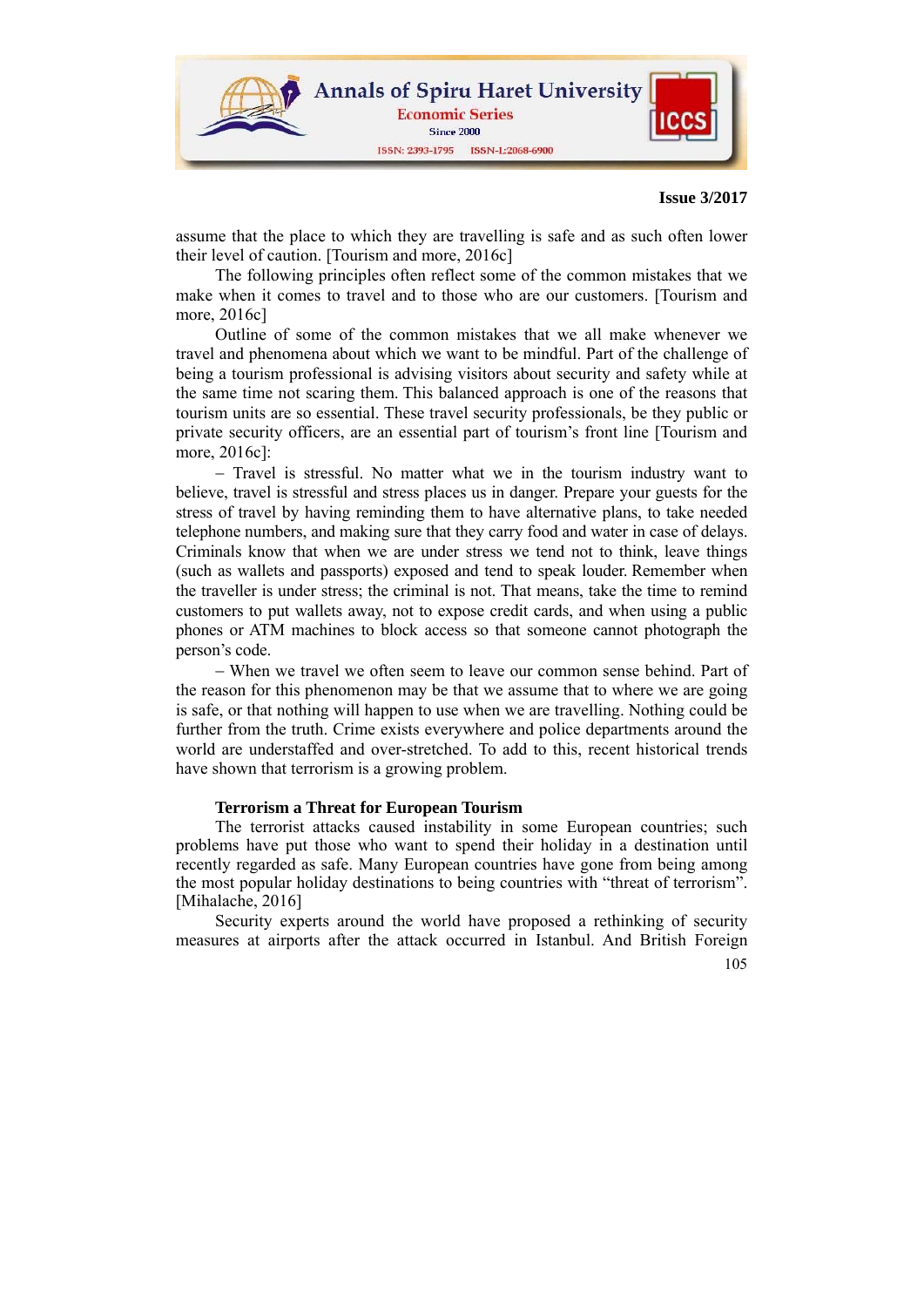

assume that the place to which they are travelling is safe and as such often lower their level of caution. [Tourism and more, 2016c]

The following principles often reflect some of the common mistakes that we make when it comes to travel and to those who are our customers. [Tourism and more, 2016c]

Outline of some of the common mistakes that we all make whenever we travel and phenomena about which we want to be mindful. Part of the challenge of being a tourism professional is advising visitors about security and safety while at the same time not scaring them. This balanced approach is one of the reasons that tourism units are so essential. These travel security professionals, be they public or private security officers, are an essential part of tourism's front line [Tourism and more, 2016c]:

- Travel is stressful. No matter what we in the tourism industry want to believe, travel is stressful and stress places us in danger. Prepare your guests for the stress of travel by having reminding them to have alternative plans, to take needed telephone numbers, and making sure that they carry food and water in case of delays. Criminals know that when we are under stress we tend not to think, leave things (such as wallets and passports) exposed and tend to speak louder. Remember when the traveller is under stress; the criminal is not. That means, take the time to remind customers to put wallets away, not to expose credit cards, and when using a public phones or ATM machines to block access so that someone cannot photograph the person's code.

 When we travel we often seem to leave our common sense behind. Part of the reason for this phenomenon may be that we assume that to where we are going is safe, or that nothing will happen to use when we are travelling. Nothing could be further from the truth. Crime exists everywhere and police departments around the world are understaffed and over-stretched. To add to this, recent historical trends have shown that terrorism is a growing problem.

## **Terrorism a Threat for European Tourism**

The terrorist attacks caused instability in some European countries; such problems have put those who want to spend their holiday in a destination until recently regarded as safe. Many European countries have gone from being among the most popular holiday destinations to being countries with "threat of terrorism". [Mihalache, 2016]

Security experts around the world have proposed a rethinking of security measures at airports after the attack occurred in Istanbul. And British Foreign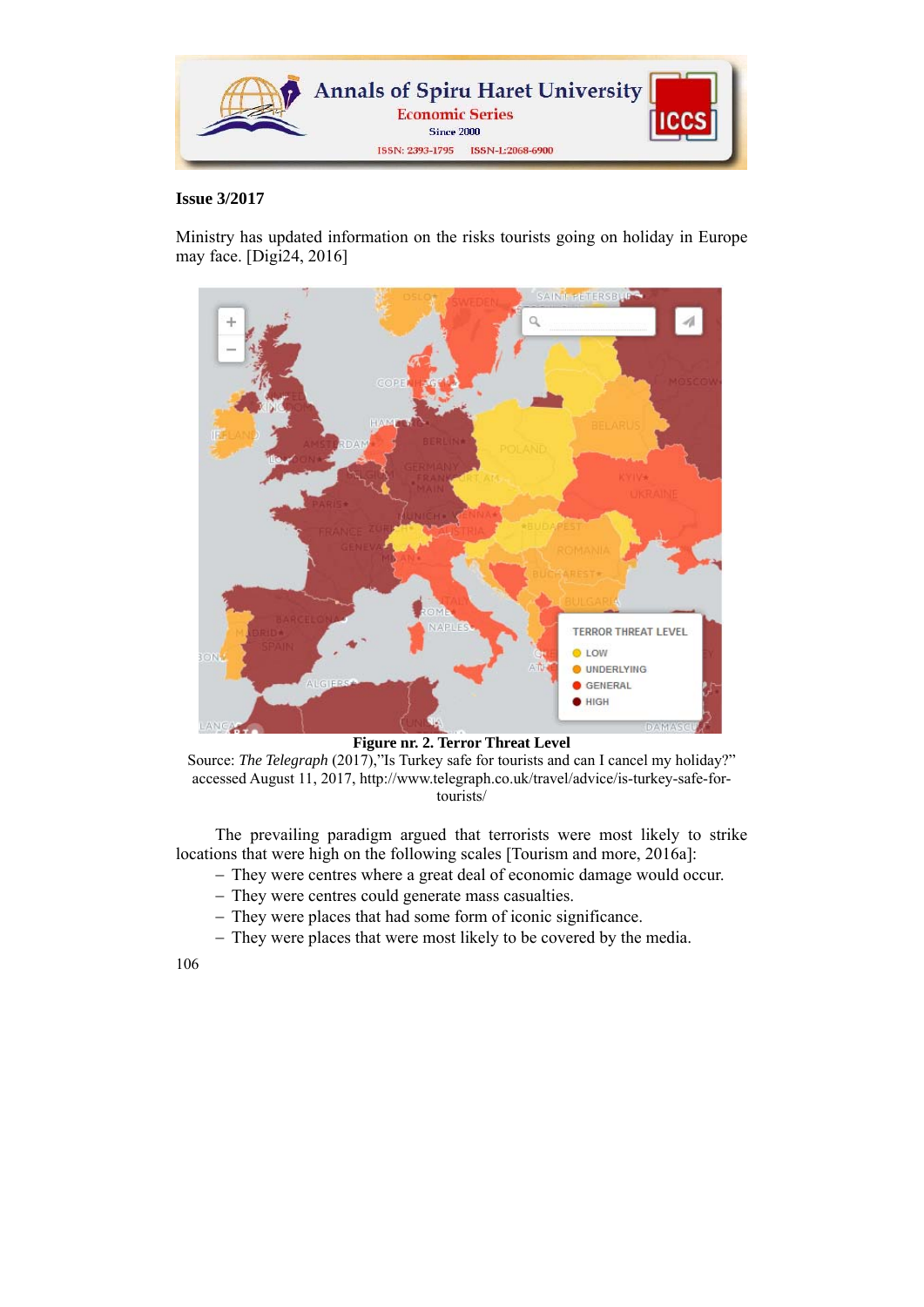

Ministry has updated information on the risks tourists going on holiday in Europe may face. [Digi24, 2016]



Source: *The Telegraph* (2017),"Is Turkey safe for tourists and can I cancel my holiday?" accessed August 11, 2017, http://www.telegraph.co.uk/travel/advice/is-turkey-safe-fortourists/

The prevailing paradigm argued that terrorists were most likely to strike locations that were high on the following scales [Tourism and more, 2016a]:

- They were centres where a great deal of economic damage would occur.
- They were centres could generate mass casualties.
- They were places that had some form of iconic significance.
- They were places that were most likely to be covered by the media.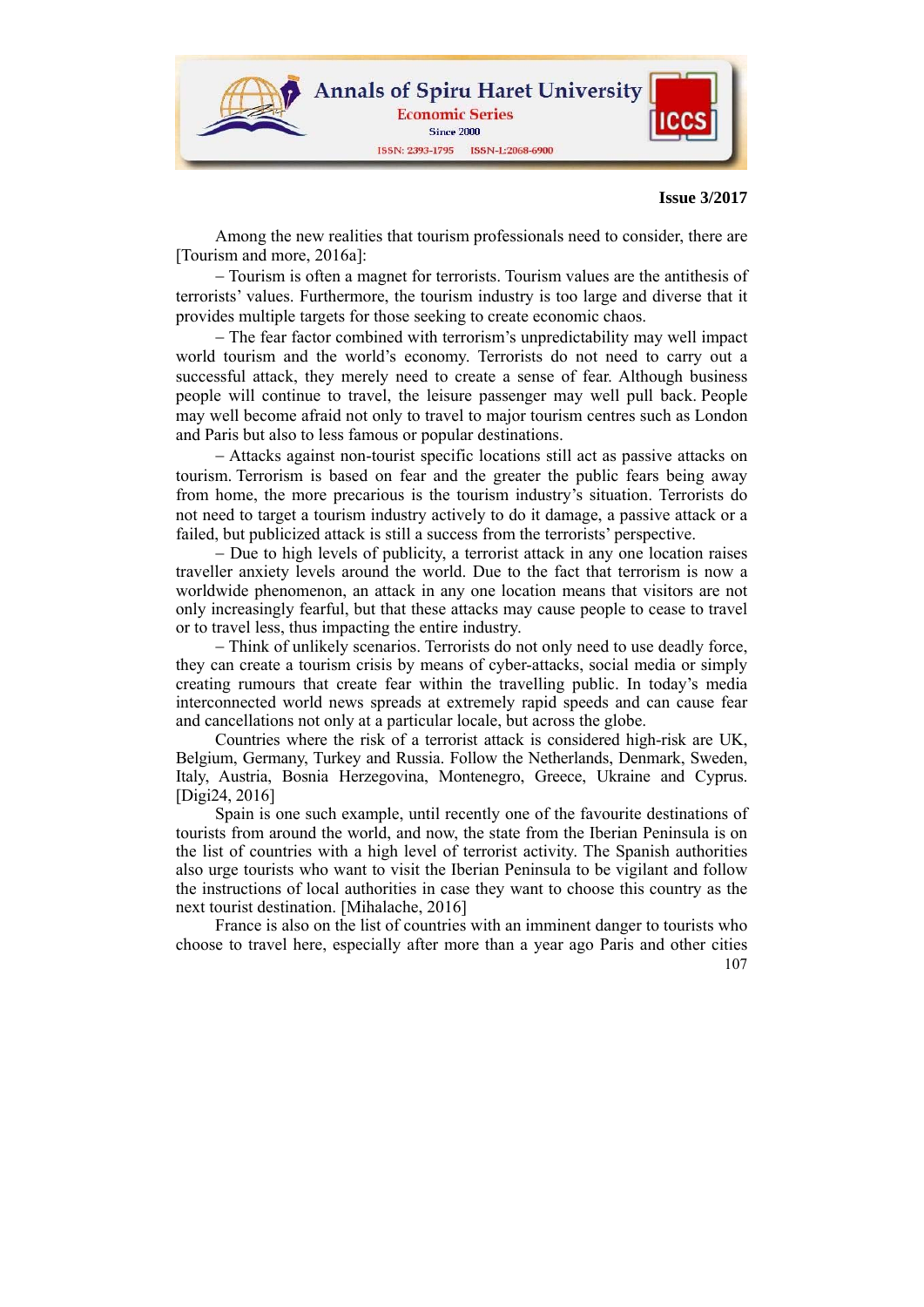

Among the new realities that tourism professionals need to consider, there are [Tourism and more, 2016a]:

 Tourism is often a magnet for terrorists. Tourism values are the antithesis of terrorists' values. Furthermore, the tourism industry is too large and diverse that it provides multiple targets for those seeking to create economic chaos.

 The fear factor combined with terrorism's unpredictability may well impact world tourism and the world's economy. Terrorists do not need to carry out a successful attack, they merely need to create a sense of fear. Although business people will continue to travel, the leisure passenger may well pull back. People may well become afraid not only to travel to major tourism centres such as London and Paris but also to less famous or popular destinations.

 Attacks against non-tourist specific locations still act as passive attacks on tourism. Terrorism is based on fear and the greater the public fears being away from home, the more precarious is the tourism industry's situation. Terrorists do not need to target a tourism industry actively to do it damage, a passive attack or a failed, but publicized attack is still a success from the terrorists' perspective.

– Due to high levels of publicity, a terrorist attack in any one location raises traveller anxiety levels around the world. Due to the fact that terrorism is now a worldwide phenomenon, an attack in any one location means that visitors are not only increasingly fearful, but that these attacks may cause people to cease to travel or to travel less, thus impacting the entire industry.

 Think of unlikely scenarios. Terrorists do not only need to use deadly force, they can create a tourism crisis by means of cyber-attacks, social media or simply creating rumours that create fear within the travelling public. In today's media interconnected world news spreads at extremely rapid speeds and can cause fear and cancellations not only at a particular locale, but across the globe.

Countries where the risk of a terrorist attack is considered high-risk are UK, Belgium, Germany, Turkey and Russia. Follow the Netherlands, Denmark, Sweden, Italy, Austria, Bosnia Herzegovina, Montenegro, Greece, Ukraine and Cyprus. [Digi24, 2016]

Spain is one such example, until recently one of the favourite destinations of tourists from around the world, and now, the state from the Iberian Peninsula is on the list of countries with a high level of terrorist activity. The Spanish authorities also urge tourists who want to visit the Iberian Peninsula to be vigilant and follow the instructions of local authorities in case they want to choose this country as the next tourist destination. [Mihalache, 2016]

France is also on the list of countries with an imminent danger to tourists who choose to travel here, especially after more than a year ago Paris and other cities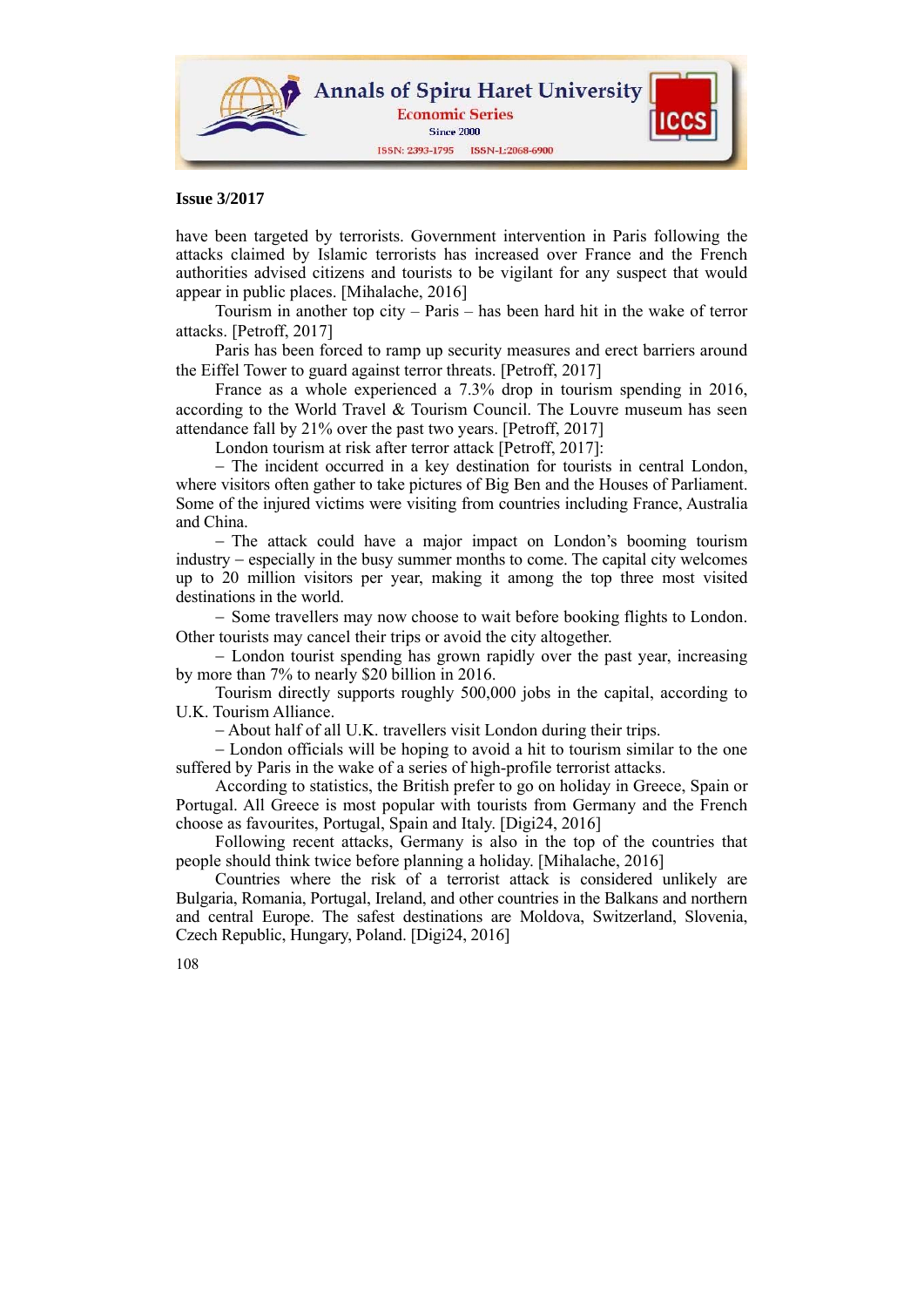

have been targeted by terrorists. Government intervention in Paris following the attacks claimed by Islamic terrorists has increased over France and the French authorities advised citizens and tourists to be vigilant for any suspect that would appear in public places. [Mihalache, 2016]

Tourism in another top city – Paris – has been hard hit in the wake of terror attacks. [Petroff, 2017]

Paris has been forced to ramp up security measures and erect barriers around the Eiffel Tower to guard against terror threats. [Petroff, 2017]

France as a whole experienced a 7.3% drop in tourism spending in 2016, according to the World Travel & Tourism Council. The Louvre museum has seen attendance fall by 21% over the past two years. [Petroff, 2017]

London tourism at risk after terror attack [Petroff, 2017]:

- The incident occurred in a key destination for tourists in central London, where visitors often gather to take pictures of Big Ben and the Houses of Parliament. Some of the injured victims were visiting from countries including France, Australia and China.

- The attack could have a major impact on London's booming tourism industry especially in the busy summer months to come. The capital city welcomes up to 20 million visitors per year, making it among the top three most visited destinations in the world.

- Some travellers may now choose to wait before booking flights to London. Other tourists may cancel their trips or avoid the city altogether.

 London tourist spending has grown rapidly over the past year, increasing by more than 7% to nearly \$20 billion in 2016.

Tourism directly supports roughly 500,000 jobs in the capital, according to U.K. Tourism Alliance.

About half of all U.K. travellers visit London during their trips.

 London officials will be hoping to avoid a hit to tourism similar to the one suffered by Paris in the wake of a series of high-profile terrorist attacks.

According to statistics, the British prefer to go on holiday in Greece, Spain or Portugal. All Greece is most popular with tourists from Germany and the French choose as favourites, Portugal, Spain and Italy. [Digi24, 2016]

Following recent attacks, Germany is also in the top of the countries that people should think twice before planning a holiday. [Mihalache, 2016]

Countries where the risk of a terrorist attack is considered unlikely are Bulgaria, Romania, Portugal, Ireland, and other countries in the Balkans and northern and central Europe. The safest destinations are Moldova, Switzerland, Slovenia, Czech Republic, Hungary, Poland. [Digi24, 2016]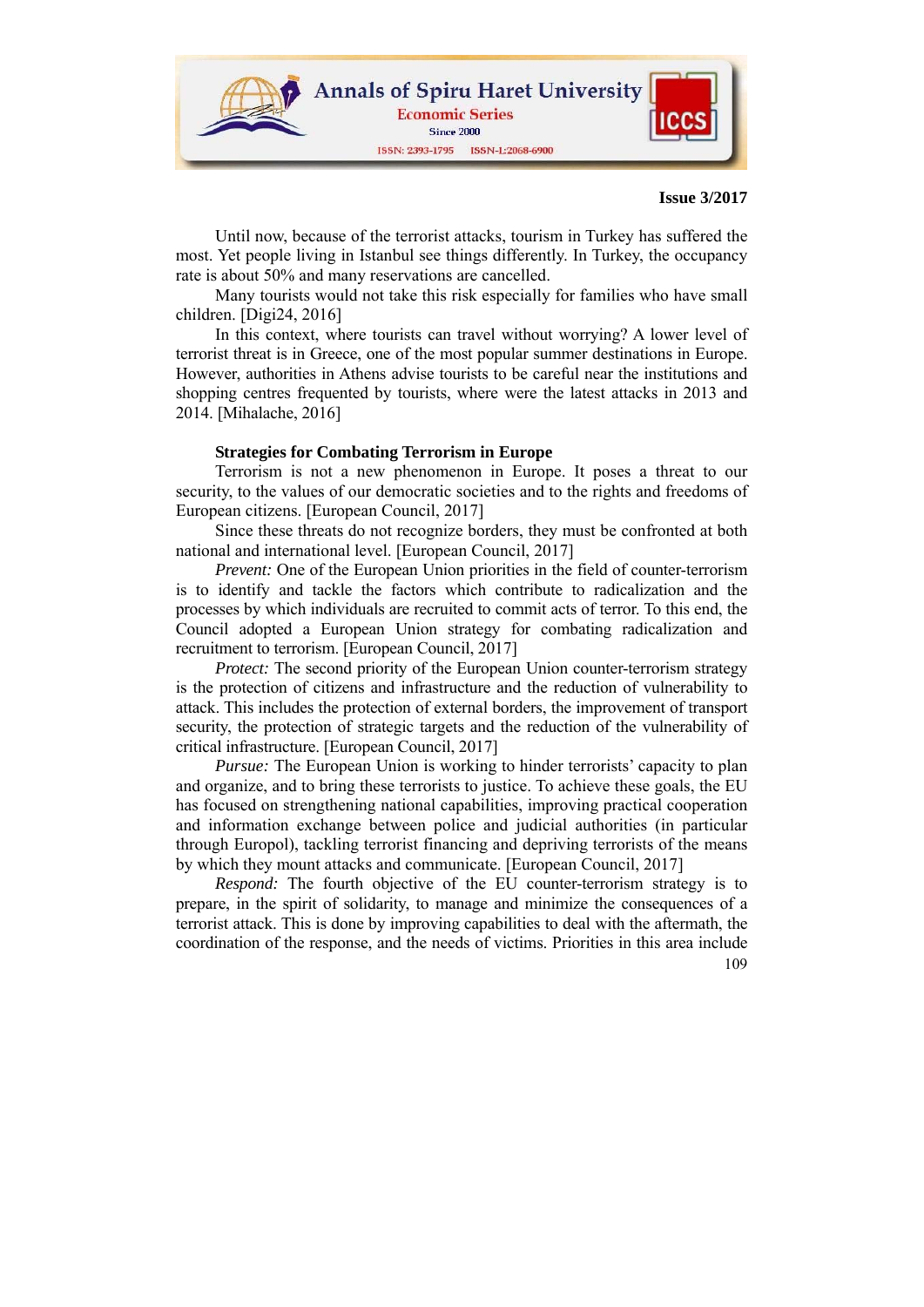

109

Until now, because of the terrorist attacks, tourism in Turkey has suffered the most. Yet people living in Istanbul see things differently. In Turkey, the occupancy rate is about 50% and many reservations are cancelled.

Many tourists would not take this risk especially for families who have small children. [Digi24, 2016]

In this context, where tourists can travel without worrying? A lower level of terrorist threat is in Greece, one of the most popular summer destinations in Europe. However, authorities in Athens advise tourists to be careful near the institutions and shopping centres frequented by tourists, where were the latest attacks in 2013 and 2014. [Mihalache, 2016]

### **Strategies for Combating Terrorism in Europe**

Terrorism is not a new phenomenon in Europe. It poses a threat to our security, to the values of our democratic societies and to the rights and freedoms of European citizens. [European Council, 2017]

Since these threats do not recognize borders, they must be confronted at both national and international level. [European Council, 2017]

*Prevent:* One of the European Union priorities in the field of counter-terrorism is to identify and tackle the factors which contribute to radicalization and the processes by which individuals are recruited to commit acts of terror. To this end, the Council adopted a European Union strategy for combating radicalization and recruitment to terrorism. [European Council, 2017]

*Protect:* The second priority of the European Union counter-terrorism strategy is the protection of citizens and infrastructure and the reduction of vulnerability to attack. This includes the protection of external borders, the improvement of transport security, the protection of strategic targets and the reduction of the vulnerability of critical infrastructure. [European Council, 2017]

*Pursue:* The European Union is working to hinder terrorists' capacity to plan and organize, and to bring these terrorists to justice. To achieve these goals, the EU has focused on strengthening national capabilities, improving practical cooperation and information exchange between police and judicial authorities (in particular through Europol), tackling terrorist financing and depriving terrorists of the means by which they mount attacks and communicate. [European Council, 2017]

*Respond:* The fourth objective of the EU counter-terrorism strategy is to prepare, in the spirit of solidarity, to manage and minimize the consequences of a terrorist attack. This is done by improving capabilities to deal with the aftermath, the coordination of the response, and the needs of victims. Priorities in this area include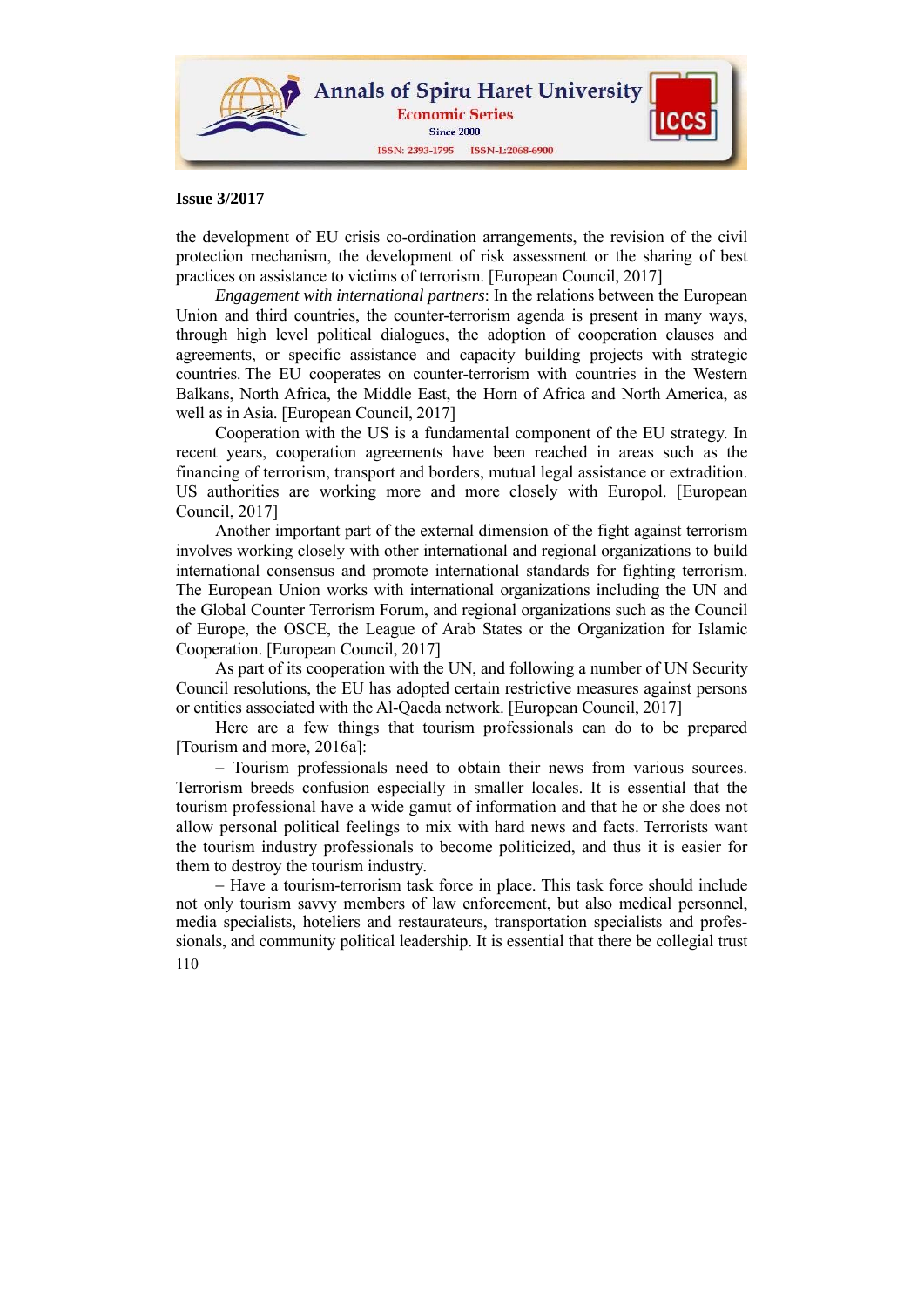

the development of EU crisis co-ordination arrangements, the revision of the civil protection mechanism, the development of risk assessment or the sharing of best practices on assistance to victims of terrorism. [European Council, 2017]

*Engagement with international partners*: In the relations between the European Union and third countries, the counter-terrorism agenda is present in many ways, through high level political dialogues, the adoption of cooperation clauses and agreements, or specific assistance and capacity building projects with strategic countries. The EU cooperates on counter-terrorism with countries in the Western Balkans, North Africa, the Middle East, the Horn of Africa and North America, as well as in Asia. [European Council, 2017]

Cooperation with the US is a fundamental component of the EU strategy. In recent years, cooperation agreements have been reached in areas such as the financing of terrorism, transport and borders, mutual legal assistance or extradition. US authorities are working more and more closely with Europol. [European Council, 2017]

Another important part of the external dimension of the fight against terrorism involves working closely with other international and regional organizations to build international consensus and promote international standards for fighting terrorism. The European Union works with international organizations including the UN and the Global Counter Terrorism Forum, and regional organizations such as the Council of Europe, the OSCE, the League of Arab States or the Organization for Islamic Cooperation. [European Council, 2017]

As part of its cooperation with the UN, and following a number of UN Security Council resolutions, the EU has adopted certain restrictive measures against persons or entities associated with the Al-Qaeda network. [European Council, 2017]

Here are a few things that tourism professionals can do to be prepared [Tourism and more, 2016a]:

 Tourism professionals need to obtain their news from various sources. Terrorism breeds confusion especially in smaller locales. It is essential that the tourism professional have a wide gamut of information and that he or she does not allow personal political feelings to mix with hard news and facts. Terrorists want the tourism industry professionals to become politicized, and thus it is easier for them to destroy the tourism industry.

110 – Have a tourism-terrorism task force in place. This task force should include not only tourism savvy members of law enforcement, but also medical personnel, media specialists, hoteliers and restaurateurs, transportation specialists and professionals, and community political leadership. It is essential that there be collegial trust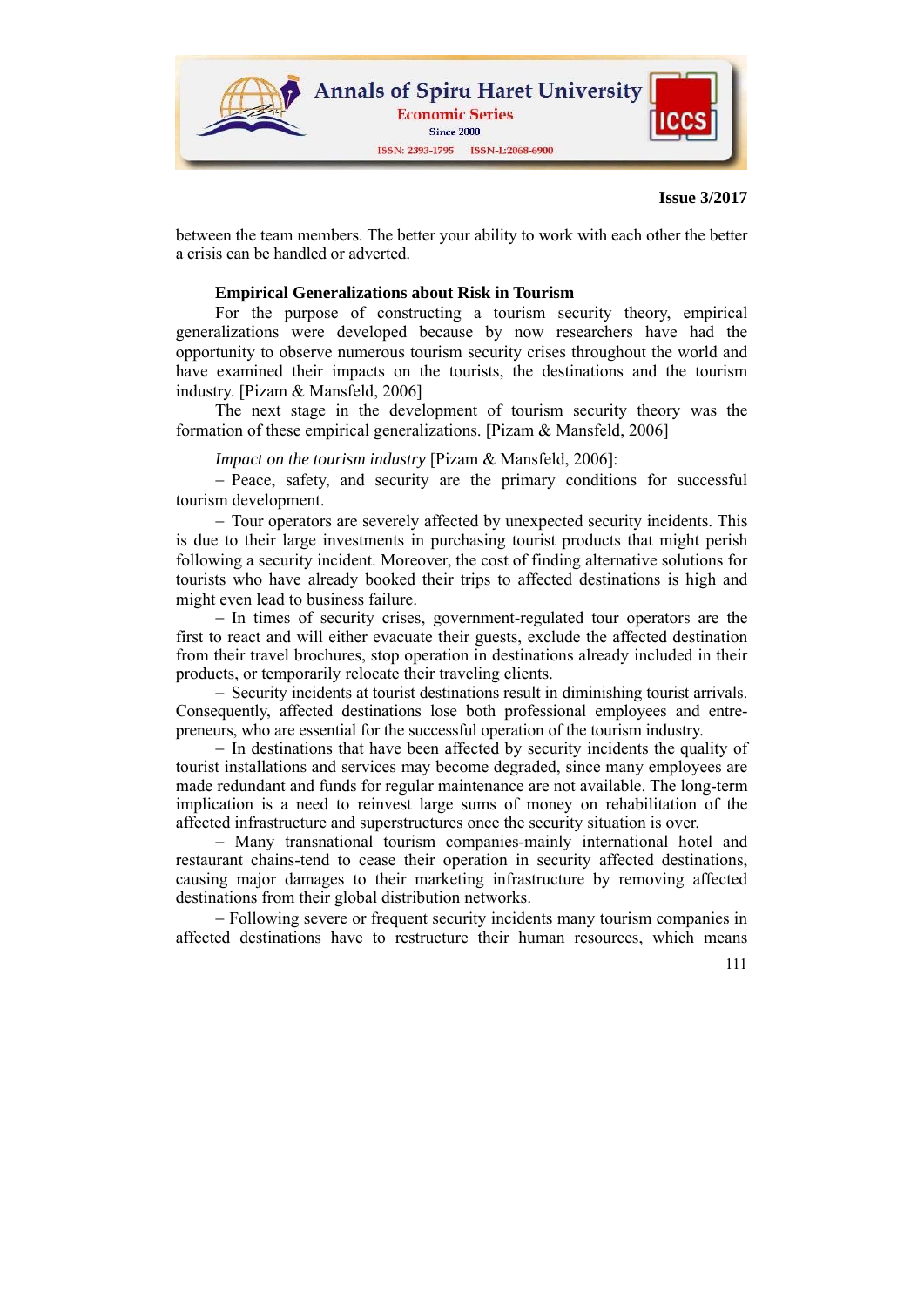

between the team members. The better your ability to work with each other the better a crisis can be handled or adverted.

#### **Empirical Generalizations about Risk in Tourism**

For the purpose of constructing a tourism security theory, empirical generalizations were developed because by now researchers have had the opportunity to observe numerous tourism security crises throughout the world and have examined their impacts on the tourists, the destinations and the tourism industry. [Pizam & Mansfeld, 2006]

The next stage in the development of tourism security theory was the formation of these empirical generalizations. [Pizam & Mansfeld, 2006]

*Impact on the tourism industry* [Pizam & Mansfeld, 2006]:

- Peace, safety, and security are the primary conditions for successful tourism development.

- Tour operators are severely affected by unexpected security incidents. This is due to their large investments in purchasing tourist products that might perish following a security incident. Moreover, the cost of finding alternative solutions for tourists who have already booked their trips to affected destinations is high and might even lead to business failure.

- In times of security crises, government-regulated tour operators are the first to react and will either evacuate their guests, exclude the affected destination from their travel brochures, stop operation in destinations already included in their products, or temporarily relocate their traveling clients.

- Security incidents at tourist destinations result in diminishing tourist arrivals. Consequently, affected destinations lose both professional employees and entrepreneurs, who are essential for the successful operation of the tourism industry.

- In destinations that have been affected by security incidents the quality of tourist installations and services may become degraded, since many employees are made redundant and funds for regular maintenance are not available. The long-term implication is a need to reinvest large sums of money on rehabilitation of the affected infrastructure and superstructures once the security situation is over.

- Many transnational tourism companies-mainly international hotel and restaurant chains-tend to cease their operation in security affected destinations, causing major damages to their marketing infrastructure by removing affected destinations from their global distribution networks.

 Following severe or frequent security incidents many tourism companies in affected destinations have to restructure their human resources, which means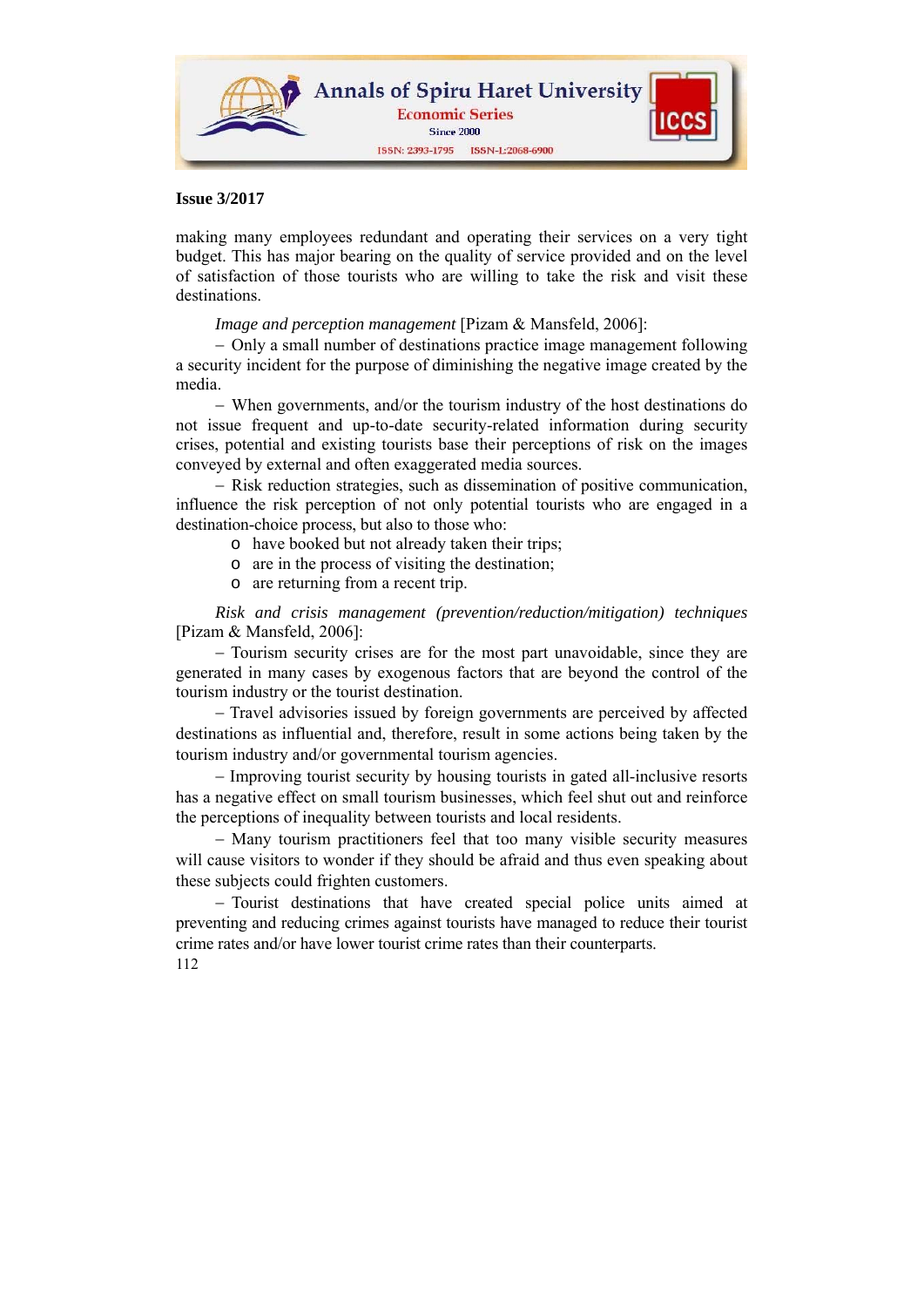

making many employees redundant and operating their services on a very tight budget. This has major bearing on the quality of service provided and on the level of satisfaction of those tourists who are willing to take the risk and visit these destinations.

*Image and perception management* [Pizam & Mansfeld, 2006]:

 Only a small number of destinations practice image management following a security incident for the purpose of diminishing the negative image created by the media.

 When governments, and/or the tourism industry of the host destinations do not issue frequent and up-to-date security-related information during security crises, potential and existing tourists base their perceptions of risk on the images conveyed by external and often exaggerated media sources.

- Risk reduction strategies, such as dissemination of positive communication, influence the risk perception of not only potential tourists who are engaged in a destination-choice process, but also to those who:

- o have booked but not already taken their trips;
- o are in the process of visiting the destination;
- o are returning from a recent trip.

*Risk and crisis management (prevention/reduction/mitigation) techniques* [Pizam & Mansfeld, 2006]:

- Tourism security crises are for the most part unavoidable, since they are generated in many cases by exogenous factors that are beyond the control of the tourism industry or the tourist destination.

 Travel advisories issued by foreign governments are perceived by affected destinations as influential and, therefore, result in some actions being taken by the tourism industry and/or governmental tourism agencies.

- Improving tourist security by housing tourists in gated all-inclusive resorts has a negative effect on small tourism businesses, which feel shut out and reinforce the perceptions of inequality between tourists and local residents.

– Many tourism practitioners feel that too many visible security measures will cause visitors to wonder if they should be afraid and thus even speaking about these subjects could frighten customers.

112 Tourist destinations that have created special police units aimed at preventing and reducing crimes against tourists have managed to reduce their tourist crime rates and/or have lower tourist crime rates than their counterparts.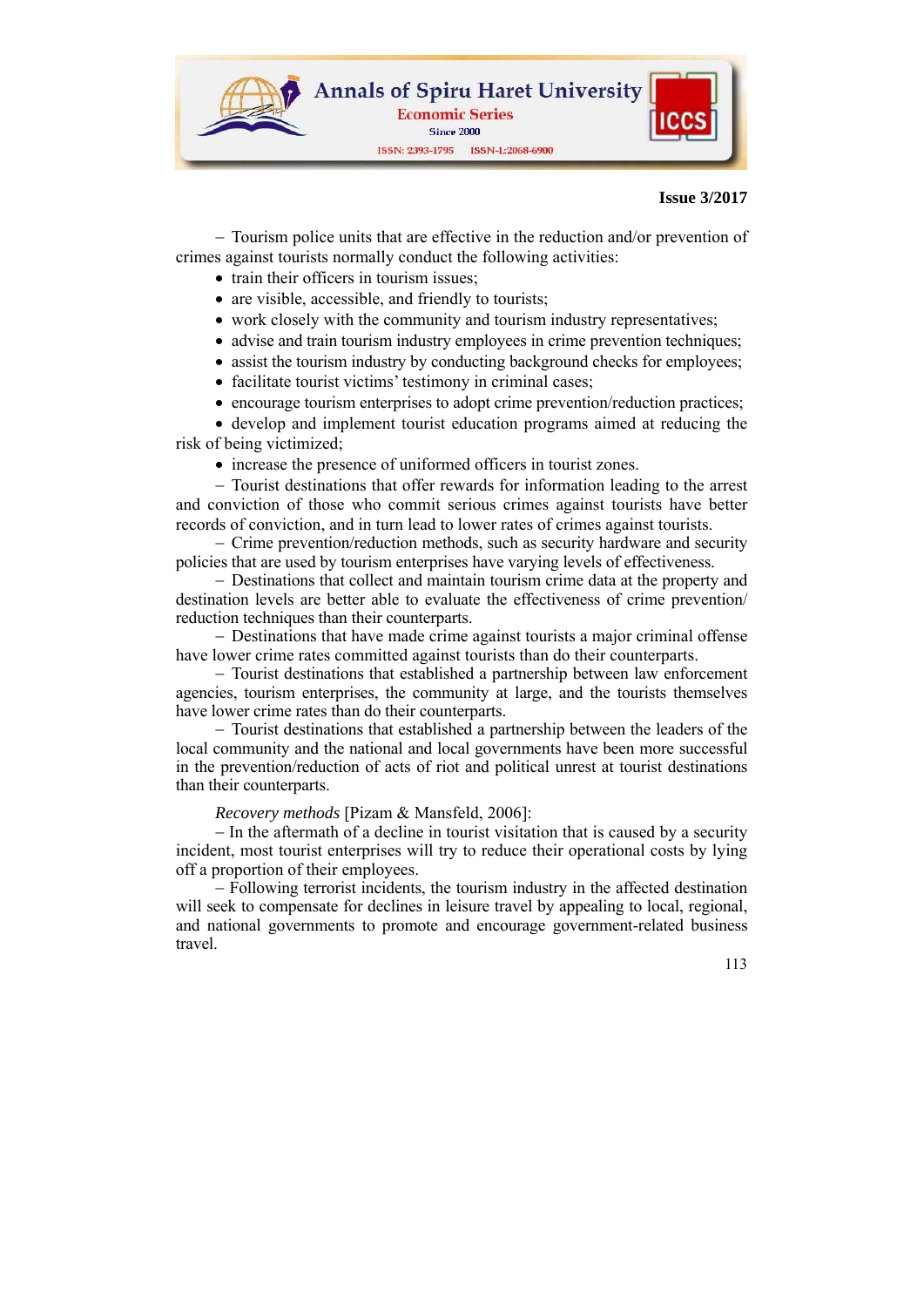

- Tourism police units that are effective in the reduction and/or prevention of crimes against tourists normally conduct the following activities:

- train their officers in tourism issues;
- are visible, accessible, and friendly to tourists;
- work closely with the community and tourism industry representatives;
- advise and train tourism industry employees in crime prevention techniques;
- assist the tourism industry by conducting background checks for employees;
- facilitate tourist victims' testimony in criminal cases;
- encourage tourism enterprises to adopt crime prevention/reduction practices;

 develop and implement tourist education programs aimed at reducing the risk of being victimized;

• increase the presence of uniformed officers in tourist zones.

 Tourist destinations that offer rewards for information leading to the arrest and conviction of those who commit serious crimes against tourists have better records of conviction, and in turn lead to lower rates of crimes against tourists.

 Crime prevention/reduction methods, such as security hardware and security policies that are used by tourism enterprises have varying levels of effectiveness.

- Destinations that collect and maintain tourism crime data at the property and destination levels are better able to evaluate the effectiveness of crime prevention/ reduction techniques than their counterparts.

- Destinations that have made crime against tourists a major criminal offense have lower crime rates committed against tourists than do their counterparts.

 Tourist destinations that established a partnership between law enforcement agencies, tourism enterprises, the community at large, and the tourists themselves have lower crime rates than do their counterparts.

 Tourist destinations that established a partnership between the leaders of the local community and the national and local governments have been more successful in the prevention/reduction of acts of riot and political unrest at tourist destinations than their counterparts.

### *Recovery methods* [Pizam & Mansfeld, 2006]:

 In the aftermath of a decline in tourist visitation that is caused by a security incident, most tourist enterprises will try to reduce their operational costs by lying off a proportion of their employees.

 Following terrorist incidents, the tourism industry in the affected destination will seek to compensate for declines in leisure travel by appealing to local, regional, and national governments to promote and encourage government-related business travel.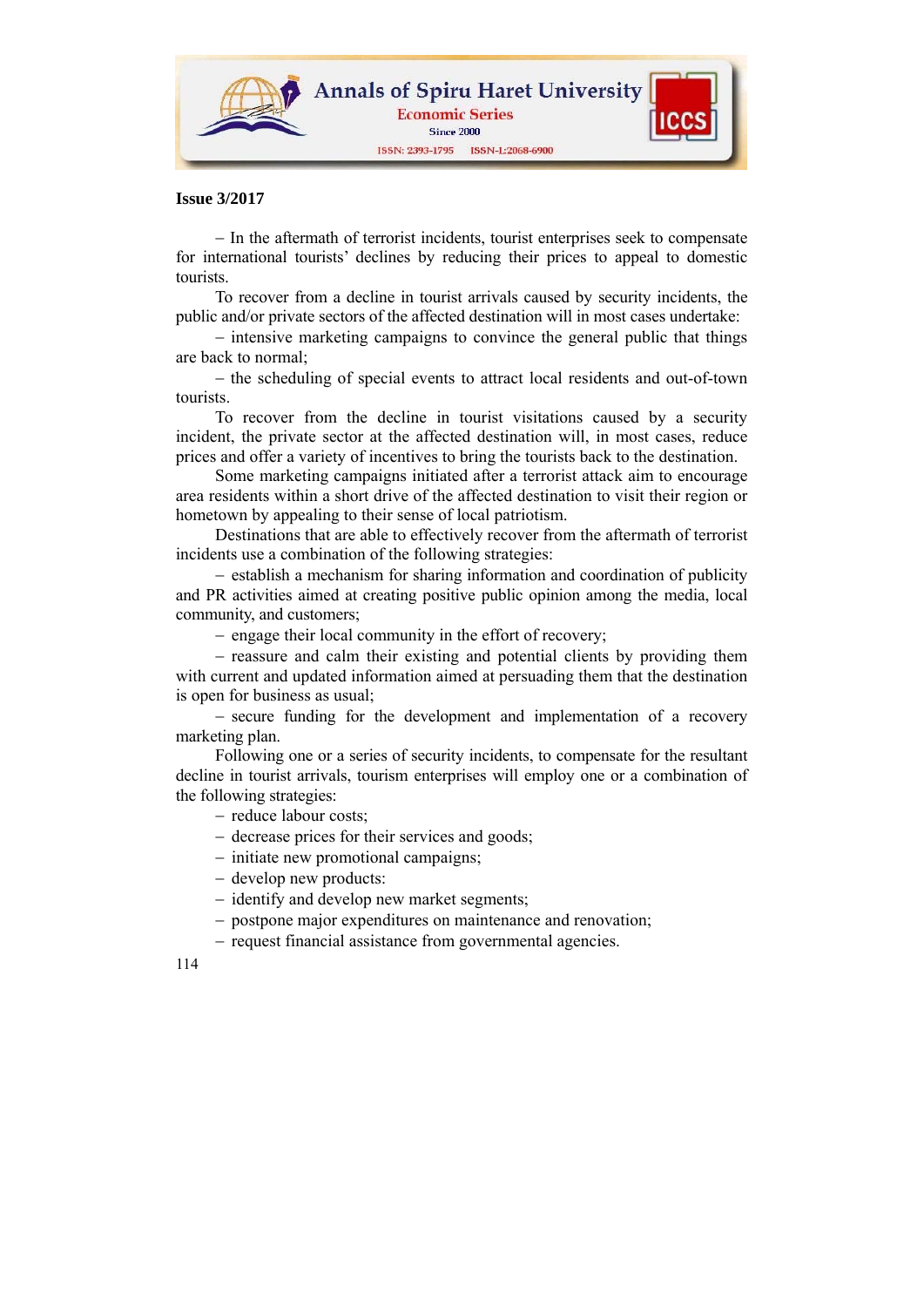

 In the aftermath of terrorist incidents, tourist enterprises seek to compensate for international tourists' declines by reducing their prices to appeal to domestic tourists.

To recover from a decline in tourist arrivals caused by security incidents, the public and/or private sectors of the affected destination will in most cases undertake:

- intensive marketing campaigns to convince the general public that things are back to normal;

- the scheduling of special events to attract local residents and out-of-town tourists.

To recover from the decline in tourist visitations caused by a security incident, the private sector at the affected destination will, in most cases, reduce prices and offer a variety of incentives to bring the tourists back to the destination.

Some marketing campaigns initiated after a terrorist attack aim to encourage area residents within a short drive of the affected destination to visit their region or hometown by appealing to their sense of local patriotism.

Destinations that are able to effectively recover from the aftermath of terrorist incidents use a combination of the following strategies:

- establish a mechanism for sharing information and coordination of publicity and PR activities aimed at creating positive public opinion among the media, local community, and customers;

- engage their local community in the effort of recovery;

- reassure and calm their existing and potential clients by providing them with current and updated information aimed at persuading them that the destination is open for business as usual;

- secure funding for the development and implementation of a recovery marketing plan.

Following one or a series of security incidents, to compensate for the resultant decline in tourist arrivals, tourism enterprises will employ one or a combination of the following strategies:

- reduce labour costs;

- decrease prices for their services and goods;
- initiate new promotional campaigns;
- develop new products:
- identify and develop new market segments;
- postpone major expenditures on maintenance and renovation;
- request financial assistance from governmental agencies.

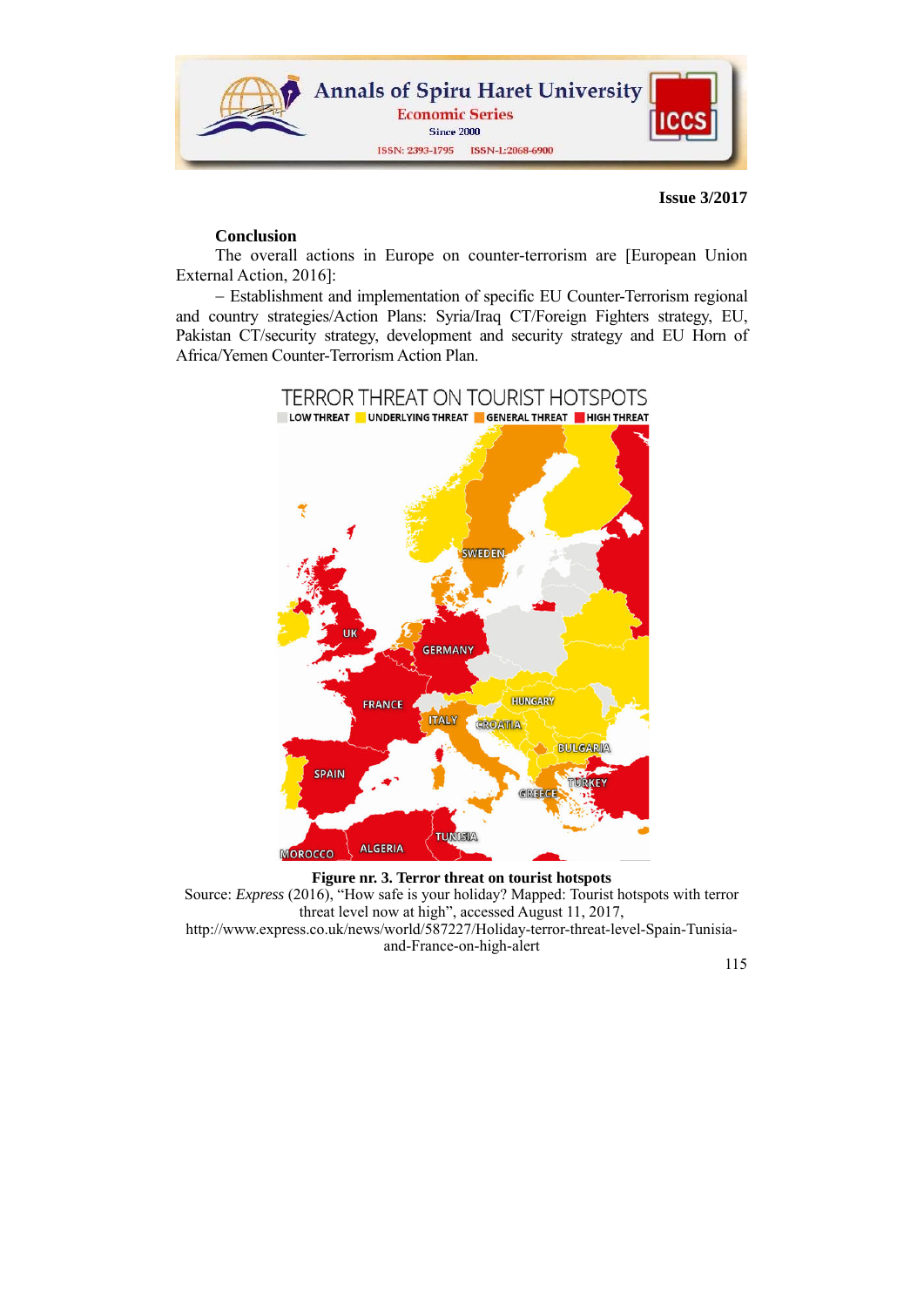

## **Conclusion**

The overall actions in Europe on counter-terrorism are [European Union External Action, 2016]:

- Establishment and implementation of specific EU Counter-Terrorism regional and country strategies/Action Plans: Syria/Iraq CT/Foreign Fighters strategy, EU, Pakistan CT/security strategy, development and security strategy and EU Horn of Africa/Yemen Counter-Terrorism Action Plan.



**Figure nr. 3. Terror threat on tourist hotspots** Source: *Express* (2016), "How safe is your holiday? Mapped: Tourist hotspots with terror threat level now at high", accessed August 11, 2017, http://www.express.co.uk/news/world/587227/Holiday-terror-threat-level-Spain-Tunisiaand-France-on-high-alert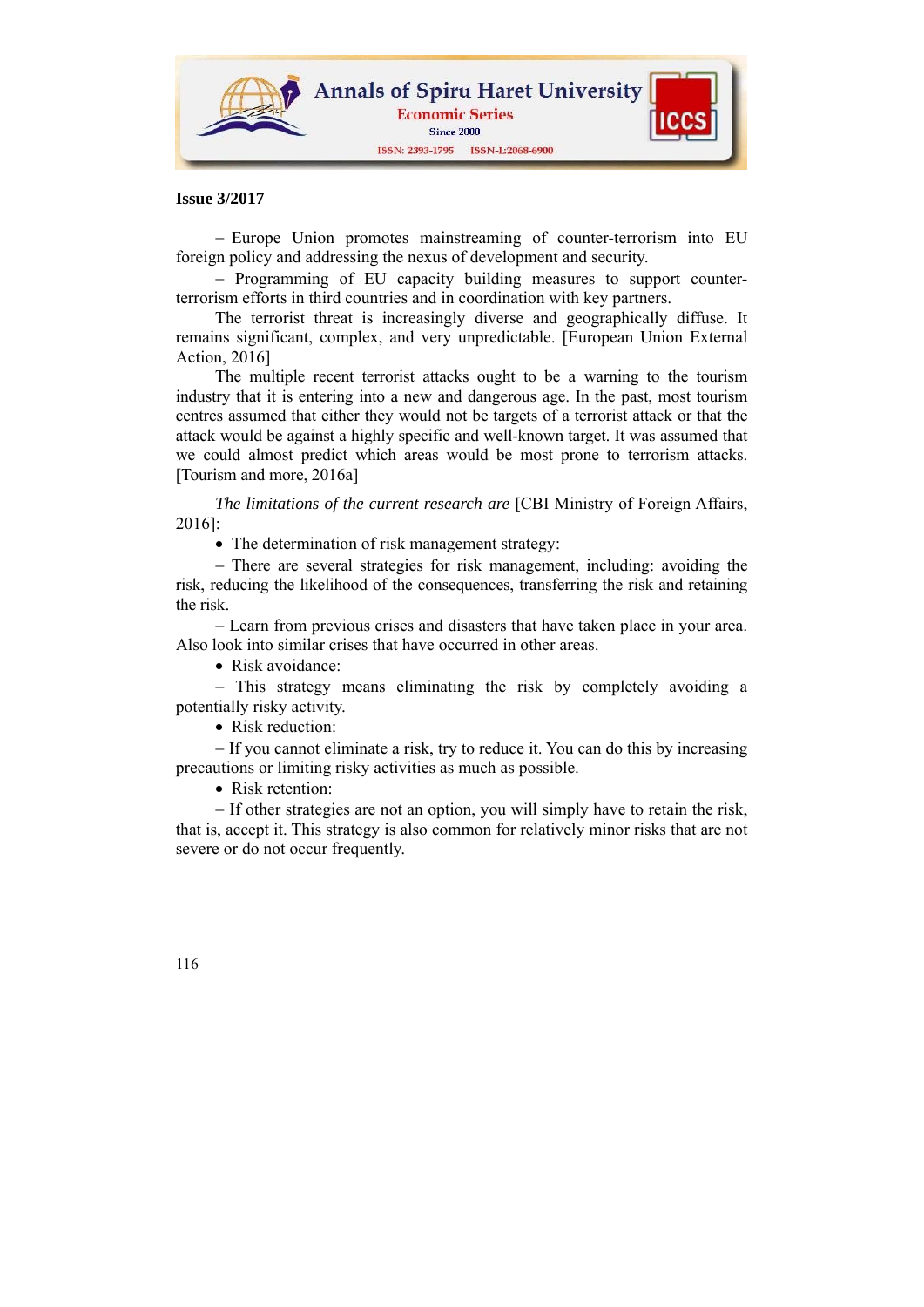

 Europe Union promotes mainstreaming of counter-terrorism into EU foreign policy and addressing the nexus of development and security.

- Programming of EU capacity building measures to support counterterrorism efforts in third countries and in coordination with key partners.

The terrorist threat is increasingly diverse and geographically diffuse. It remains significant, complex, and very unpredictable. [European Union External Action, 2016]

The multiple recent terrorist attacks ought to be a warning to the tourism industry that it is entering into a new and dangerous age. In the past, most tourism centres assumed that either they would not be targets of a terrorist attack or that the attack would be against a highly specific and well-known target. It was assumed that we could almost predict which areas would be most prone to terrorism attacks. [Tourism and more, 2016a]

*The limitations of the current research are* [CBI Ministry of Foreign Affairs,  $2016$ <sup>1</sup>

• The determination of risk management strategy:

- There are several strategies for risk management, including: avoiding the risk, reducing the likelihood of the consequences, transferring the risk and retaining the risk.

 Learn from previous crises and disasters that have taken place in your area. Also look into similar crises that have occurred in other areas.

• Risk avoidance:

- This strategy means eliminating the risk by completely avoiding a potentially risky activity.

• Risk reduction:

 If you cannot eliminate a risk, try to reduce it. You can do this by increasing precautions or limiting risky activities as much as possible.

• Risk retention:

- If other strategies are not an option, you will simply have to retain the risk, that is, accept it. This strategy is also common for relatively minor risks that are not severe or do not occur frequently.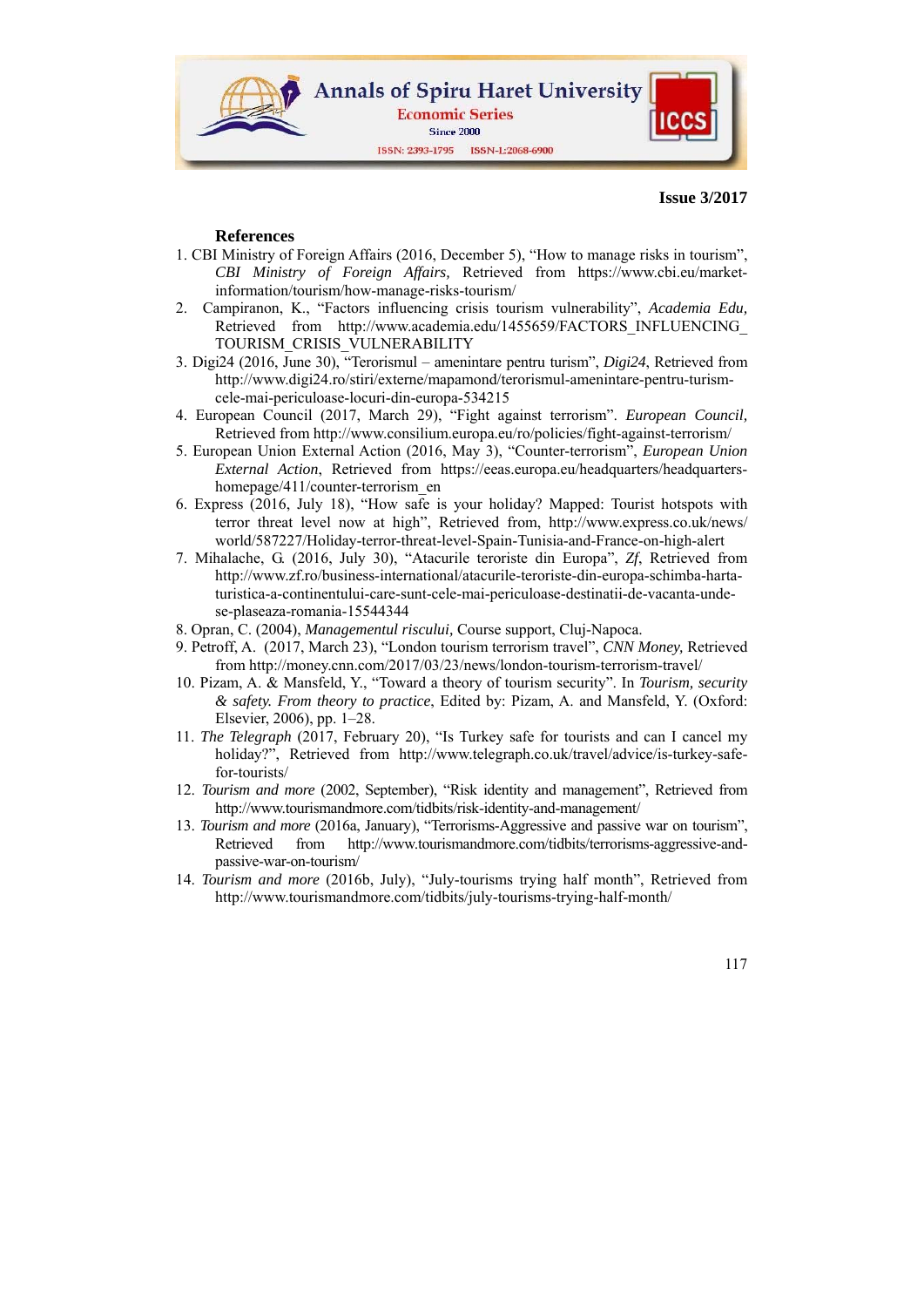

#### **References**

- 1. CBI Ministry of Foreign Affairs (2016, December 5), "How to manage risks in tourism", *CBI Ministry of Foreign Affairs,* Retrieved from https://www.cbi.eu/marketinformation/tourism/how-manage-risks-tourism/
- 2. Campiranon, K., "Factors influencing crisis tourism vulnerability", *Academia Edu,*  Retrieved from http://www.academia.edu/1455659/FACTORS\_INFLUENCING\_ TOURISM\_CRISIS\_VULNERABILITY
- 3. Digi24 (2016, June 30), "Terorismul amenintare pentru turism", *Digi24*, Retrieved from http://www.digi24.ro/stiri/externe/mapamond/terorismul-amenintare-pentru-turismcele-mai-periculoase-locuri-din-europa-534215
- 4. European Council (2017, March 29), "Fight against terrorism". *European Council,* Retrieved from http://www.consilium.europa.eu/ro/policies/fight-against-terrorism/
- 5. European Union External Action (2016, May 3), "Counter-terrorism", *European Union External Action*, Retrieved from https://eeas.europa.eu/headquarters/headquartershomepage/411/counter-terrorism\_en
- 6. Express (2016, July 18), "How safe is your holiday? Mapped: Tourist hotspots with terror threat level now at high", Retrieved from, http://www.express.co.uk/news/ world/587227/Holiday-terror-threat-level-Spain-Tunisia-and-France-on-high-alert
- 7. Mihalache, G. (2016, July 30), "Atacurile teroriste din Europa", *Zf*, Retrieved from http://www.zf.ro/business-international/atacurile-teroriste-din-europa-schimba-hartaturistica-a-continentului-care-sunt-cele-mai-periculoase-destinatii-de-vacanta-undese-plaseaza-romania-15544344
- 8. Opran, C. (2004), *Managementul riscului,* Course support, Cluj-Napoca.
- 9. Petroff, A. (2017, March 23), "London tourism terrorism travel", *CNN Money,* Retrieved from http://money.cnn.com/2017/03/23/news/london-tourism-terrorism-travel/
- 10. Pizam, A. & Mansfeld, Y., "Toward a theory of tourism security". In *Tourism, security & safety. From theory to practice*, Edited by: Pizam, A. and Mansfeld, Y. (Oxford: Elsevier, 2006), pp. 1–28.
- 11. *The Telegraph* (2017, February 20), "Is Turkey safe for tourists and can I cancel my holiday?", Retrieved from http://www.telegraph.co.uk/travel/advice/is-turkey-safefor-tourists/
- 12. *Tourism and more* (2002, September), "Risk identity and management", Retrieved from http://www.tourismandmore.com/tidbits/risk-identity-and-management/
- 13. *Tourism and more* (2016a, January), "Terrorisms-Aggressive and passive war on tourism", Retrieved from http://www.tourismandmore.com/tidbits/terrorisms-aggressive-andpassive-war-on-tourism/
- 14. *Tourism and more* (2016b, July), "July-tourisms trying half month", Retrieved from http://www.tourismandmore.com/tidbits/july-tourisms-trying-half-month/